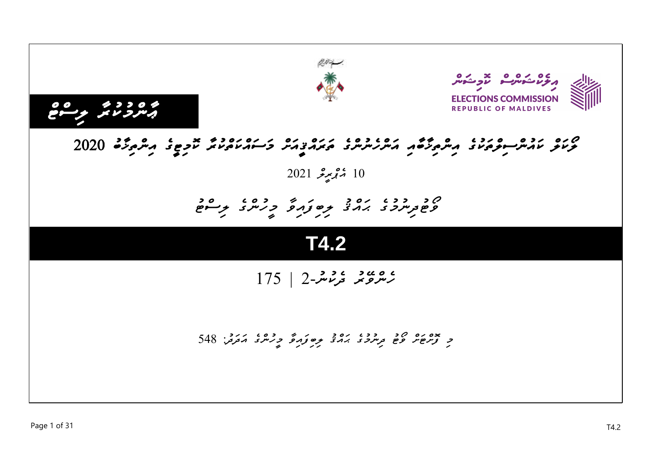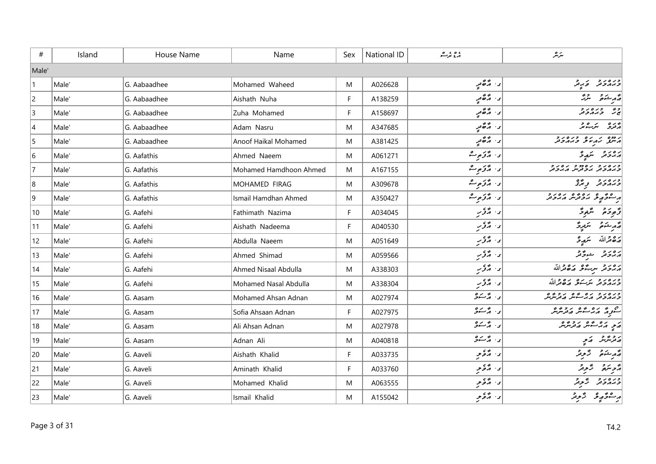| #              | Island | House Name   | Name                   | Sex | National ID | ، ه ، ره<br>مره برگ       | ىئرىتر                                         |
|----------------|--------|--------------|------------------------|-----|-------------|---------------------------|------------------------------------------------|
| Male'          |        |              |                        |     |             |                           |                                                |
|                | Male'  | G. Aabaadhee | Mohamed Waheed         | M   | A026628     | ی گھُورِ                  | ورەرو كەيل                                     |
| 2              | Male'  | G. Aabaadhee | Aishath Nuha           | F   | A138259     | ر به گور<br>د به گور      | ە ئەرسىنى ھەر                                  |
| $ 3\rangle$    | Male'  | G. Aabaadhee | Zuha Mohamed           | F.  | A158697     | ر برگھور<br>رهين          | و وره دو<br>محر وبروور                         |
| $\vert 4$      | Male'  | G. Aabaadhee | Adam Nasru             | M   | A347685     | ر به گرگه د <sub>یم</sub> | أوره سكريد والمحمد                             |
| $\overline{5}$ | Male'  | G. Aabaadhee | Anoof Haikal Mohamed   | M   | A381425     | ر برگھور<br>ر             | ג ככם התשיב כמחכת                              |
| $\overline{6}$ | Male'  | G. Aafathis  | Ahmed Naeem            | M   | A061271     | ى بە ئۇ ئەمەت             | برەرو شھرو                                     |
| $\vert$ 7      | Male'  | G. Aafathis  | Mohamed Hamdhoon Ahmed | M   | A167155     | ى بەر ئۇچە ب              | כנסג כ- גסמכ- גסג כ-<br>הגנהבת- גבתית- הגבת    |
| 8              | Male'  | G. Aafathis  | MOHAMED FIRAG          | M   | A309678     | ، ئۇ ئۇم ب <sup>ە</sup>   | ورەر د پرېژنى                                  |
| 9              | Male'  | G. Aafathis  | Ismail Hamdhan Ahmed   | M   | A350427     | ى ئەترەپ                  | د صوره ده وه ده دو.<br>د سود د د د ترس د بروتر |
| 10             | Male'  | G. Aafehi    | Fathimath Nazima       | F.  | A034045     | ى بە ئەقرىپ               | قرموختم الشموخ                                 |
| 11             | Male'  | G. Aafehi    | Aishath Nadeema        | F.  | A040530     | ى بەرگەسىيە               | ومرشكم الكرمرة                                 |
| 12             | Male'  | G. Aafehi    | Abdulla Naeem          | M   | A051649     | ى بەرگەر                  | رەقمەللە س <i>مە</i> ر                         |
| 13             | Male'  | G. Aafehi    | Ahmed Shimad           | M   | A059566     | ى بەرگەر                  | رەر دىنوگر                                     |
| 14             | Male'  | G. Aafehi    | Ahmed Nisaal Abdulla   | M   | A338303     | ى بە ئەقرىر               | أبره برو سيبحو وكافرالله                       |
| 15             | Male'  | G. Aafehi    | Mohamed Nasal Abdulla  | M   | A338304     | ى بە ئەقرىب               | ورەرو بررە رەوللە                              |
| 16             | Male'  | G. Aasam     | Mohamed Ahsan Adnan    | M   | A027974     | ى بە ئەسكەنتى             | وره رو بره مه ه برومه                          |
| 17             | Male'  | G. Aasam     | Sofia Ahsaan Adnan     | F   | A027975     | ى بە ئەسكەنتى             | ے پر بروے پر دیدھر                             |
| 18             | Male'  | G. Aasam     | Ali Ahsan Adnan        | M   | A027978     | ى بە ئەسكەنتى             | ە بەر بەر ئەر بەدىرىترىتر                      |
| 19             | Male'  | G. Aasam     | Adnan Ali              | M   | A040818     | ى بۇ ئەيج                 | كەنترىترىتر كەيپ                               |
| 20             | Male'  | G. Aaveli    | Aishath Khalid         | F.  | A033735     | ، دې د                    | أوار يحكم الأحرار                              |
| 21             | Male'  | G. Aaveli    | Aminath Khalid         | F   | A033760     | ى بۇ ئۇم                  | أزويتم تزور                                    |
| 22             | Male'  | G. Aaveli    | Mohamed Khalid         | M   | A063555     | ای ونمور                  | و ره ر د<br>د بر د تر<br>رٌ وتر                |
| 23             | Male'  | G. Aaveli    | Ismail Khalid          | M   | A155042     | .<br>د . مگاه م           | ر شۇر ئۇ ئىر                                   |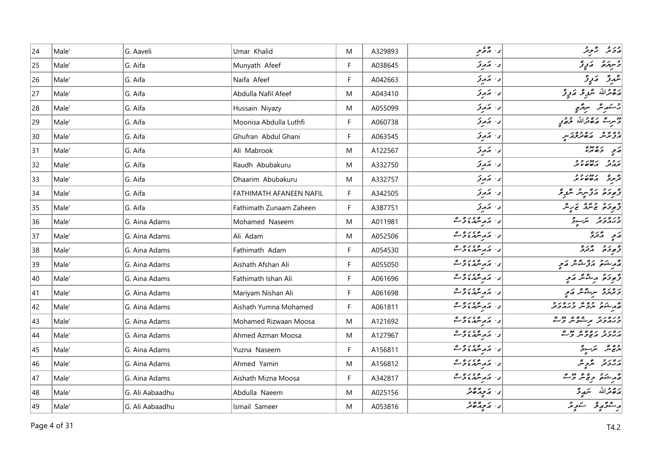| 24 | Male' | G. Aaveli       | Umar Khalid             | M         | A329893 | ى بەرگە بىر        | در د گروگر                                     |
|----|-------|-----------------|-------------------------|-----------|---------|--------------------|------------------------------------------------|
| 25 | Male' | G. Aifa         | Munyath Afeef           | F         | A038645 | ى بە مەرىخ         | د سرد پرو                                      |
| 26 | Male' | G. Aifa         | Naifa Afeef             | F         | A042663 | ى بەرگە            | شمرژ مَږِرْ                                    |
| 27 | Male' | G. Aifa         | Abdulla Nafil Afeef     | M         | A043410 | ای امکارتی         | رە قەللە شمور مەر د                            |
| 28 | Male' | G. Aifa         | Hussain Niyazy          | M         | A055099 | ى ئەمەتى           | جر سُندېر شرمرګنې                              |
| 29 | Male' | G. Aifa         | Moonisa Abdulla Luthfi  | F         | A060738 | ى بە مەرق          | وحسرت مَا صَعْرَاللّهِ حَقَّ فِي               |
| 30 | Male' | G. Aifa         | Ghufran Abdul Ghani     | F         | A063545 | ى بەرگە            | وو وه ده دونه د                                |
| 31 | Male' | G. Aifa         | Ali Mabrook             | ${\sf M}$ | A122567 | ى بەرگە            | $rac{0.7702}{0.7002}$                          |
| 32 | Male' | G. Aifa         | Raudh Abubakuru         | ${\sf M}$ | A332750 | ى ئەمەتى           | 77/77/<br>ر و و<br>بردگر                       |
| 33 | Male' | G. Aifa         | Dhaarim Abubakuru       | M         | A332757 | ى ئەمەتى           | 22/22/2012<br>ترىرى مەھەمەس                    |
| 34 | Male' | G. Aifa         | FATHIMATH AFANEEN NAFIL | F         | A342505 | ى ئەمەتى           | وتجوده مؤسية شرو                               |
| 35 | Male' | G. Aifa         | Fathimath Zunaam Zaheen | F         | A387751 | ى ئەمەتى           | توجد حمايا المستحدث المحاسر المراجل            |
| 36 | Male' | G. Aina Adams   | Mohamed Naseem          | M         | A011981 | ى ئىر ئەتلەن ئ     | כנסנכ תוכל                                     |
| 37 | Male' | G. Aina Adams   | Ali Adam                | M         | A052506 | ى مەستمى دە ھ      | أەسم أو المركز                                 |
| 38 | Male' | G. Aina Adams   | Fathimath Adam          | F         | A054530 | ى ئىر شىم ئىچە ك   | و دره په دره                                   |
| 39 | Male' | G. Aina Adams   | Aishath Afshan Ali      | F         | A055050 | ى ئىر شىم ئىچى ك   | وأرجعتم وكالمشامر وكمي                         |
| 40 | Male' | G. Aina Adams   | Fathimath Ishan Ali     | F         | A061696 |                    | أزوده مشمر زم                                  |
| 41 | Male' | G. Aina Adams   | Mariyam Nishan Ali      | F         | A061698 | ى مەسمەئى بە       | دەرە سەشەركىي                                  |
| 42 | Male' | G. Aina Adams   | Aishath Yumna Mohamed   | F         | A061811 | ى ئىر ئىر ئىككى ئى | ه مدد وه به وره دو<br>مهر شود مرح شر وبرمرح تر |
| 43 | Male' | G. Aina Adams   | Mohamed Rizwaan Moosa   | M         | A121692 | ى ئەرشمۇ ئەم 2 ھ   | ورەر دېرىنوش ھەر                               |
| 44 | Male' | G. Aina Adams   | Ahmed Azman Moosa       | M         | A127967 | ى مەسمىي دەپ       |                                                |
| 45 | Male' | G. Aina Adams   | Yuzna Naseem            | F         | A156811 | ى ئەرشمۇ ئەۋر      | پرچ نئر - مترسوفر                              |
| 46 | Male' | G. Aina Adams   | Ahmed Yamin             | M         | A156812 |                    | در در ده مرگور مر                              |
| 47 | Male' | G. Aina Adams   | Aishath Mizna Moosa     | F         | A342817 |                    | وأرشكم ولجند ومث                               |
| 48 | Male' | G. Ali Aabaadhu | Abdulla Naeem           | M         | A025156 | ى ئەچەرگە ئى       | يره قرالله<br>سَمَدٍ حَر                       |
| 49 | Male' | G. Ali Aabaadhu | Ismail Sameer           | ${\sf M}$ | A053816 | ى ئەمۇرگە قىر      | أرساد ويو كارير                                |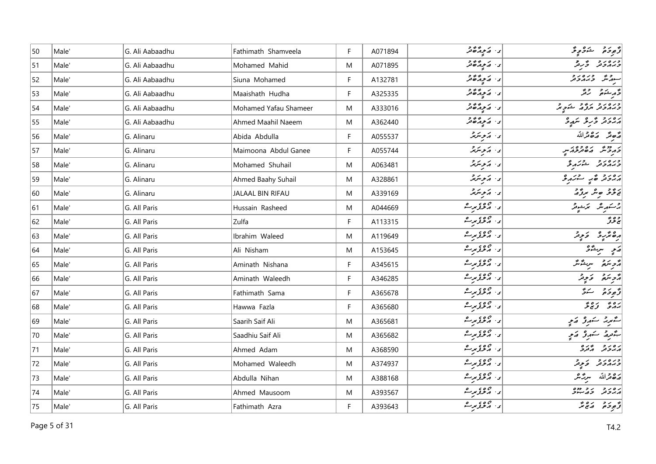| 50 | Male' | G. Ali Aabaadhu | Fathimath Shamveela   | F           | A071894 | <sub>ى س</sub> ەم ئەھمەر       | أزُبُودَةُ شَدَّوِدٌ                                                                                    |
|----|-------|-----------------|-----------------------|-------------|---------|--------------------------------|---------------------------------------------------------------------------------------------------------|
| 51 | Male' | G. Ali Aabaadhu | Mohamed Mahid         | M           | A071895 | ا <i>ئەنگەۋەت</i> گە           | ورەر ئەرم                                                                                               |
| 52 | Male' | G. Ali Aabaadhu | Siuna Mohamed         | $\mathsf F$ | A132781 | ء پرَ پرچُ صَّعْر              | دره دره درو                                                                                             |
| 53 | Male' | G. Ali Aabaadhu | Maaishath Hudha       | F.          | A325335 | ، ئەمەر <i>ئا</i> ھەتە         | وَ مِسْرَ وَ وَ وَ                                                                                      |
| 54 | Male' | G. Ali Aabaadhu | Mohamed Yafau Shameer | M           | A333016 | ، ئەمەدە ئەتە                  | ورەرو رود خوپ                                                                                           |
| 55 | Male' | G. Ali Aabaadhu | Ahmed Maahil Naeem    | M           | A362440 | .<br>د کم پرګوگو               | أرورو ورو شهوه                                                                                          |
| 56 | Male' | G. Alinaru      | Abida Abdulla         | F           | A055537 | ى ئەمرىكە                      | أُمَّةٍ مَصْرَ اللَّهُ                                                                                  |
| 57 | Male' | G. Alinaru      | Maimoona Abdul Ganee  | F           | A055744 | ى ئەمرىكە                      | د دوم ره دور سر                                                                                         |
| 58 | Male' | G. Alinaru      | Mohamed Shuhail       | ${\sf M}$   | A063481 | ى گەنچە ئىرىگە                 | ورەرو ھەردى                                                                                             |
| 59 | Male' | G. Alinaru      | Ahmed Baahy Suhail    | M           | A328861 | اء المتجانكر                   | أرورو مهر دورو                                                                                          |
| 60 | Male' | G. Alinaru      | JALAAL BIN RIFAU      | M           | A339169 | ى سەھەتىر                      | و څخه خو سرگه                                                                                           |
| 61 | Male' | G. All Paris    | Hussain Rasheed       | M           | A044669 | ى بەر ئۇيۇمېرىشە               | رحم مسكر مترجورهم                                                                                       |
| 62 | Male' | G. All Paris    | Zulfa                 | F           | A113315 | ى بىر مۇق <sub>ى</sub> رىيە ھە | و ه و.<br>مح ترگ                                                                                        |
| 63 | Male' | G. All Paris    | Ibrahim Waleed        | ${\sf M}$   | A119649 | ى بىر ئۇق <sub>ۇ</sub> مېرىشە  | أرە ئۆر ئىستىمىتى ئىستىدىكى ئىستىدىكى ئىستىدىكى ئىستىدىكى ئىستىدىكى ئىستىدىكى ئىستىدىكى ئىستىدىكى ئىستى |
| 64 | Male' | G. All Paris    | Ali Nisham            | ${\sf M}$   | A153645 | ى بۇ ئۇغۇرىيە                  | ر<br>د سرشگر                                                                                            |
| 65 | Male' | G. All Paris    | Aminath Nishana       | F           | A345615 | ى بىر ئۇق <sub>ۇ</sub> مېرىشە  | أأدو سكرة السراء المتكر                                                                                 |
| 66 | Male' | G. All Paris    | Aminath Waleedh       | F           | A346285 | ى بۇ ئۇيۇمېرىشە                | أأترجع أقرمته                                                                                           |
| 67 | Male' | G. All Paris    | Fathimath Sama        | F           | A365678 | ى بىر مۇبۇ بىر شە              | قەم ئەقتى                                                                                               |
| 68 | Male' | G. All Paris    | Hawwa Fazla           | F           | A365680 | ى مۇۋىرىشى<br>ي                | رەپە زەپ                                                                                                |
| 69 | Male' | G. All Paris    | Saarih Saif Ali       | M           | A365681 | ى بۇ ئۇ ئۇ بىر شە              | سمبر2 سنهرق كميمي                                                                                       |
| 70 | Male' | G. All Paris    | Saadhiu Saif Ali      | ${\sf M}$   | A365682 | ى بە ئۇقۇمرىشە                 | بدورة الشروع أوالمحمج                                                                                   |
| 71 | Male' | G. All Paris    | Ahmed Adam            | M           | A368590 | ، مۇزىر <u>م</u>               | ر ه ر و دره<br>مدرو د مر                                                                                |
| 72 | Male' | G. All Paris    | Mohamed Waleedh       | ${\sf M}$   | A374937 | ، ئۇق <sub>ۇم</sub> رى         | ورەر د پر د                                                                                             |
| 73 | Male' | G. All Paris    | Abdulla Nihan         | M           | A388168 | ، ئۇقۇمرىشى<br>ئ               | <mark>برەت</mark> راللە س <i>ېرتىگ</i> ر                                                                |
| 74 | Male' | G. All Paris    | Ahmed Mausoom         | M           | A393567 | ، ئۇقۇمرىشى<br>ئ               | ىر دە دە<br>پروژو                                                                                       |
| 75 | Male' | G. All Paris    | Fathimath Azra        | F           | A393643 | ى بۇ ئۇ ئۇ بىر شە              | و محمد الله من محمد الله من                                                                             |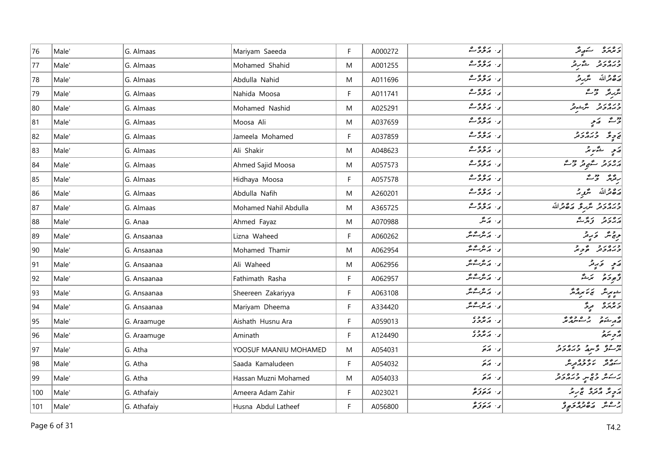| 76  | Male' | G. Almaas   | Mariyam Saeeda        | F         | A000272 | ى بە ئەۋرىشە                   | دیروز سکھیڈ                                                     |
|-----|-------|-------------|-----------------------|-----------|---------|--------------------------------|-----------------------------------------------------------------|
| 77  | Male' | G. Almaas   | Mohamed Shahid        | M         | A001255 | ى بەر ئەھرىشە                  | ورەرو ئەرو                                                      |
| 78  | Male' | G. Almaas   | Abdulla Nahid         | ${\sf M}$ | A011696 | ى بە ئەۋرىشە                   | أشقاقدالله يتربينه                                              |
| 79  | Male' | G. Almaas   | Nahida Moosa          | F         | A011741 | ى بە ئەبۇر شە                  | يُتَرَبَّدُ بِّيْ شُهْ                                          |
| 80  | Male' | G. Almaas   | Mohamed Nashid        | ${\sf M}$ | A025291 | ى بەر ئەھرىسى                  | ورەرو شەر                                                       |
| 81  | Male' | G. Almaas   | Moosa Ali             | M         | A037659 | ى بەر ئەھرىسى                  | لرث كەمبر                                                       |
| 82  | Male' | G. Almaas   | Jameela Mohamed       | F         | A037859 | ى بەر ئەھرىسى                  | ر و دره در در<br>فارغ در درد                                    |
| 83  | Male' | G. Almaas   | Ali Shakir            | ${\sf M}$ | A048623 | ى بە ئەبۇر شە                  | ړې شريد                                                         |
| 84  | Male' | G. Almaas   | Ahmed Sajid Moosa     | ${\sf M}$ | A057573 | ى بە ئەبۇر شە                  | ره د و مخصوص دور مج                                             |
| 85  | Male' | G. Almaas   | Hidhaya Moosa         | F         | A057578 | ى بە ئەبۇر شە                  | روژنژ ویستم                                                     |
| 86  | Male' | G. Almaas   | Abdulla Nafih         | ${\sf M}$ | A260201 | ى بە ئەبۇر شە                  | 25 محمدالله سمعي جم                                             |
| 87  | Male' | G. Almaas   | Mohamed Nahil Abdulla | M         | A365725 | ى بە ئەبۇر شە                  | ورەرو مەر ھەرللە                                                |
| 88  | Male' | G. Anaa     | Ahmed Fayaz           | M         | A070988 | ى بە ئەنىگە                    | رەرد زېژگ                                                       |
| 89  | Male' | G. Ansaanaa | Lizna Waheed          | F         | A060262 | ى بەر ئەرمىتە ئىر              | حريج يثر - حربه قر                                              |
| 90  | Male' | G. Ansaanaa | Mohamed Thamir        | M         | A062954 | ى بە ئەنىر ئىشرىتىر            | ورەرو ۋوبر                                                      |
| 91  | Male' | G. Ansaanaa | Ali Waheed            | ${\sf M}$ | A062956 | ى بە ئەنىگەنىگە                | ړې وړي <sub>د</sub>                                             |
| 92  | Male' | G. Ansaanaa | Fathimath Rasha       | F         | A062957 | ى بەر ئەرمىتە ئىر              | وحجم والمحمد المحرسة                                            |
| 93  | Male' | G. Ansaanaa | Sheereen Zakariyya    | F         | A063108 | ى ئەشرىشقىتر                   | خيرش تم تبره                                                    |
| 94  | Male' | G. Ansaanaa | Mariyam Dheema        | F         | A334420 | ى بەر ئەرمىتە ئىر              | ويومره<br>ورگر<br>پ                                             |
| 95  | Male' | G. Araamuge | Aishath Husnu Ara     | F         | A059013 | ر بر ۱۶۶۶<br>د ۱ <b>ر</b> بروی | ج مع د و د و.<br>بر سوسرړنې<br>پ <sup>ر</sup> مرشوح<br>در مشوحو |
| 96  | Male' | G. Araamuge | Aminath               | F         | A124490 | ر بر برور<br>د ۱ مرگرور        | و څخه سره                                                       |
| 97  | Male' | G. Atha     | YOOSUF MAANIU MOHAMED | ${\sf M}$ | A054031 | ی په کړه کل                    | מ כם כ"ינג" כ"ג פי                                              |
| 98  | Male' | G. Atha     | Saada Kamaludeen      | F         | A054032 | ی گرځی                         | ر دور دروره در در در                                            |
| 99  | Male' | G. Atha     | Hassan Muzni Mohamed  | ${\sf M}$ | A054033 | ی گرمگر                        | بر شور وه بر وبرورو                                             |
| 100 | Male' | G. Athafaiy | Ameera Adam Zahir     | F         | A023021 | ى بەردە                        | أرَوِيرٌ أَرْتَرَدُ بِمَرْيَرٌ                                  |
| 101 | Male' | G. Athafaiy | Husna Abdul Latheef   | F         | A056800 | ر بر بره<br>د ۱ متوفر          | و ه په ره ده ده و                                               |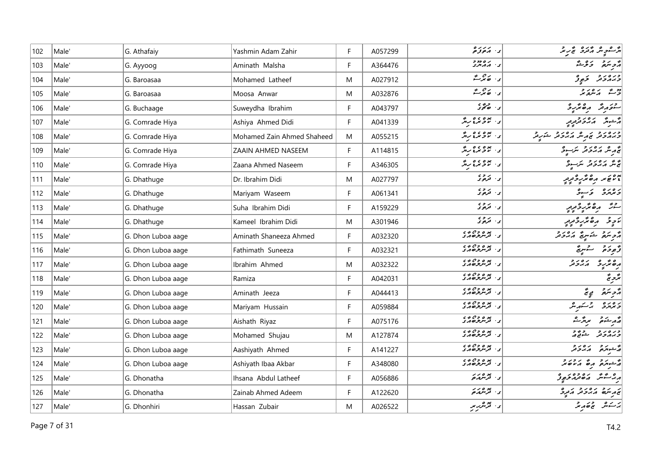| 102 | Male' | G. Athafaiy        | Yashmin Adam Zahir         | F         | A057299 | ى بە ئەتەرە                                       | وحصي والملاحظ المحارجة                                                                                         |
|-----|-------|--------------------|----------------------------|-----------|---------|---------------------------------------------------|----------------------------------------------------------------------------------------------------------------|
| 103 | Male' | G. Ayyoog          | Aminath Malsha             | F.        | A364476 | גם בכב<br>ג' הההיה ב                              | ۇ پەيدە كەن ئاھ                                                                                                |
| 104 | Male' | G. Baroasaa        | Mohamed Latheef            | M         | A027912 | ى ئەھىمرىگە                                       | ورەرو كەچ                                                                                                      |
| 105 | Male' | G. Baroasaa        | Moosa Anwar                | M         | A032876 | ى ئەنگەپ                                          | اور شهر در در                                                                                                  |
| 106 | Male' | G. Buchaage        | Suweydha Ibrahim           | F         | A043797 | ر جونو ۽<br>ي- ھاڳوڻ                              | جورو رەۋرد                                                                                                     |
| 107 | Male' | G. Comrade Hiya    | Ashiya Ahmed Didi          | F         | A041339 | ۍ سوه ده وه روگر                                  | ر ده در در در در در در در در بر<br>در شورگر در برگرفتر در پر                                                   |
| 108 | Male' | G. Comrade Hiya    | Mohamed Zain Ahmed Shaheed | M         | A055215 | ی سی ۵ و ۵ و میگر<br>بر سی حریم بر مرگز           | ورەرو پەرش مەدور خىرىگ                                                                                         |
| 109 | Male' | G. Comrade Hiya    | ZAAIN AHMED NASEEM         | F         | A114815 | ی سی ۵ و ۵ و میگر<br>بر سی حریم بر مرگز           | ځ مه شه کړه د هم کلي ده د                                                                                      |
| 110 | Male' | G. Comrade Hiya    | Zaana Ahmed Naseem         | F         | A346305 | بره ۲۵۷۵ د مگر<br>د ۱ ماچری د مگر                 | په ده دورو کړل و                                                                                               |
| 111 | Male' | G. Dhathuge        | Dr. Ibrahim Didi           | M         | A027797 | ر ده.<br>د کروگ                                   | بي ع ع بر مره تر بر د در در<br>د ۱۶ ع بر ره تر بر د و                                                          |
| 112 | Male' | G. Dhathuge        | Mariyam Waseem             | F.        | A061341 | ر ده.<br>د کرو د                                  | ويوره وسو                                                                                                      |
| 113 | Male' | G. Dhathuge        | Suha Ibrahim Didi          | F         | A159229 | ر ده.<br>د کروز                                   | ە ھەترىر 3 مەير<br>رەھ ترىر 3 تو<br>سترشح                                                                      |
| 114 | Male' | G. Dhathuge        | Kameel Ibrahim Didi        | M         | A301946 | ر ده.<br>د کرو د                                  | تأج في أوره مركب ومرمر                                                                                         |
| 115 | Male' | G. Dhon Luboa aage | Aminath Shaneeza Ahmed     | F.        | A032320 | پر ہ<br>ی- ترسرچ@مری                              | أزوسكم كمشبرة أرورو                                                                                            |
| 116 | Male' | G. Dhon Luboa aage | Fathimath Suneeza          | F         | A032321 | په موه و <i>۲۵ و</i> ل<br>د ۰ ترسربر <i>ه</i> ۸ و | قروخو كسميرة                                                                                                   |
| 117 | Male' | G. Dhon Luboa aage | Ibrahim Ahmed              | ${\sf M}$ | A032322 | پر ہ و 2 وی<br>ی - ترسرپڑھ 7ری                    | ە ھەترىر <sup>ە</sup><br>برور و                                                                                |
| 118 | Male' | G. Dhon Luboa aage | Ramiza                     | F.        | A042031 | ید ه و <i>۵۶ و ع</i><br>ی کرسربون <i>ه ا</i> ر    | برُّحرِيُّ                                                                                                     |
| 119 | Male' | G. Dhon Luboa aage | Aminath Jeeza              | F         | A044413 | پر ہ و و <i>م و م</i><br>د · ترسرو <i>ھ و</i> د   | أرمز تر<br>حج يح                                                                                               |
| 120 | Male' | G. Dhon Luboa aage | Mariyam Hussain            | F.        | A059884 | بر و و پړۍ<br>د کرسربونوړۍ                        | ر ه ر ه<br><del>و</del> بربرو<br>برسەمەر بىر                                                                   |
| 121 | Male' | G. Dhon Luboa aage | Aishath Riyaz              | F         | A075176 | پر ہ و 2 پر ہ<br>پ - ترسرپڑھ پر <sub>ک</sub>      | و.<br>د کرم شوځ                                                                                                |
| 122 | Male' | G. Dhon Luboa aage | Mohamed Shujau             | M         | A127874 | پر ہ و میں د<br>تاریخی میں د                      | و ر ە ر د<br>تر بر بر تر<br>رح پر و<br>مشتوی در                                                                |
| 123 | Male' | G. Dhon Luboa aage | Aashiyath Ahmed            | F         | A141227 | پر ہے وجہ دے<br>یہ ترسر پڑھ مر <sub>ک</sub>       | و دره دره در در در در در در این در تاریخ در این در تاریخ در در این در این در این در دارالله باشد به دست که دست |
| 124 | Male' | G. Dhon Luboa aage | Ashiyath Ibaa Akbar        | F         | A348080 | پر ہ<br>ی- ترسرچ@مری                              | ה בינות הם היסי                                                                                                |
| 125 | Male' | G. Dhonatha        | Ihsana Abdul Latheef       | F         | A056886 | ر موه در<br>د - ترسمه <i>و</i>                    | و عمر ده ده ده و                                                                                               |
| 126 | Male' | G. Dhonatha        | Zainab Ahmed Adeem         | F         | A122620 | ر به ده در<br>د افرس                              | גו מים המכני הנגם                                                                                              |
| 127 | Male' | G. Dhonhiri        | Hassan Zubair              | M         | A026522 |                                                   | يركسكس بمقدمة                                                                                                  |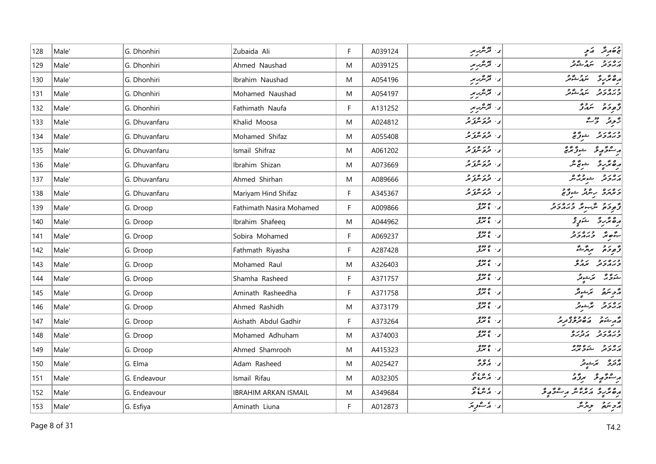| 128 | Male' | G. Dhonhiri   | Zubaida Ali                 | F           | A039124 | - محمد عرب                                | ة م <i>أمريك</i> ر مكوني                                                                                                                                                                                                            |
|-----|-------|---------------|-----------------------------|-------------|---------|-------------------------------------------|-------------------------------------------------------------------------------------------------------------------------------------------------------------------------------------------------------------------------------------|
| 129 | Male' | G. Dhonhiri   | Ahmed Naushad               | M           | A039125 | ر به بیر ش <i>ر بر</i><br>بر از مشر بر بر | رەرو رومۇر                                                                                                                                                                                                                          |
| 130 | Male' | G. Dhonhiri   | Ibrahim Naushad             | M           | A054196 | ى قرىترىيە                                | ה <i>סיתי כ"י מה ביצי</i> ת                                                                                                                                                                                                         |
| 131 | Male' | G. Dhonhiri   | Mohamed Naushad             | M           | A054197 | <br> ی- قریر سربر                         | ورەرو شەرقەر                                                                                                                                                                                                                        |
| 132 | Male' | G. Dhonhiri   | Fathimath Naufa             | F           | A131252 | ر· قرمگر بر<br>م                          | و و د دو                                                                                                                                                                                                                            |
| 133 | Male' | G. Dhuvanfaru | Khalid Moosa                | M           | A024812 | ى - تەرەپر 2                              | رَّحِيدُ رَّسَةُ                                                                                                                                                                                                                    |
| 134 | Male' | G. Dhuvanfaru | Mohamed Shifaz              | M           | A055408 | ى بە قرەكتىمى ئىر                         | ورەرو ئىرۇم                                                                                                                                                                                                                         |
| 135 | Male' | G. Dhuvanfaru | Ismail Shifraz              | M           | A061202 | ى بە قرەكتىرىمى                           | و مشركة و مشركة من المحدد المحدد المحدد المحدد المحدد المحدد المحدد المحدد المحدد المحدد المحدد المحدد المحدد<br>المحدد المحدد المحدد المحدد المحدد المحدد المحدد المحدد المحدد المحدد المحدد المحدد المحدد المحدد المحدد المحد<br> |
| 136 | Male' | G. Dhuvanfaru | Ibrahim Shizan              | M           | A073669 | ى - قرەكلىمى تەر                          |                                                                                                                                                                                                                                     |
| 137 | Male' | G. Dhuvanfaru | Ahmed Shirhan               | M           | A089666 | ى - ترەكىيەتر                             | رەرد ئويزېر                                                                                                                                                                                                                         |
| 138 | Male' | G. Dhuvanfaru | Mariyam Hind Shifaz         | $\mathsf F$ | A345367 | ى سىمى ئىمى ئىمى                          | ويرترو ريرتر جوزمج                                                                                                                                                                                                                  |
| 139 | Male' | G. Droop      | Fathimath Nasira Mohamed    | F           | A009866 | ە دەە<br>ي غەمدىق                         | و و د و هر سور د و دره د و                                                                                                                                                                                                          |
| 140 | Male' | G. Droop      | Ibrahim Shafeeq             | M           | A044962 | ە دەە<br>ي غەربى                          | رە ئەر ئىستۇر                                                                                                                                                                                                                       |
| 141 | Male' | G. Droop      | Sobira Mohamed              | $\mathsf F$ | A069237 | ه ۵۶۶ و.<br>ک - نامجرگر                   | $5,0.25$ to $\frac{2}{7}$                                                                                                                                                                                                           |
| 142 | Male' | G. Droop      | Fathmath Riyasha            | F           | A287428 | ە دەە<br>ي غەمرى                          | أوالمحافظ المراكب المحمد                                                                                                                                                                                                            |
| 143 | Male' | G. Droop      | Mohamed Raul                | M           | A326403 | ە 1970<br>ي - ئامىرتى                     | כנסנכ נכס                                                                                                                                                                                                                           |
| 144 | Male' | G. Droop      | Shamha Rasheed              | F.          | A371757 | ه دوه<br>د انا محرفر                      | شوم ترجع                                                                                                                                                                                                                            |
| 145 | Male' | G. Droop      | Aminath Rasheedha           | F           | A371758 | ە دوە<br>ي غەرقى                          | أأروبتهم بمنصوص                                                                                                                                                                                                                     |
| 146 | Male' | G. Droop      | Ahmed Rashidh               | M           | A373179 | ە دەە<br>ي سىمبىرتى                       | رەرو ئ <sub>ى</sub> شىر                                                                                                                                                                                                             |
| 147 | Male' | G. Droop      | Aishath Abdul Gadhir        | F.          | A373264 | ە دەە<br>ي سىمبىرتى                       | د در دره ده در د<br>مگرشوی مان در در د                                                                                                                                                                                              |
| 148 | Male' | G. Droop      | Mohamed Adhuham             | M           | A374003 | ه ۵۶۶ و.<br>ک - نامجرگر                   | כנסנכ גבנס<br>בגהכת הבנ <i>ב</i> כ                                                                                                                                                                                                  |
| 149 | Male' | G. Droop      | Ahmed Shamrooh              | M           | A415323 | ە دەە<br>ي غەمرى                          | ره رو دره دوه<br>مربروتر شو <i>و</i> بربر                                                                                                                                                                                           |
| 150 | Male' | G. Elma       | Adam Rasheed                | M           | A025427 | ى بەرگەنچ                                 | وره پر <sub>شو</sub> تر<br>م                                                                                                                                                                                                        |
| 151 | Male' | G. Endeavour  | Ismail Rifau                | M           | A032305 | ، مې مړينې<br>د امريکونو                  | ر شۇرۇ برۇر                                                                                                                                                                                                                         |
| 152 | Male' | G. Endeavour  | <b>IBRAHIM ARKAN ISMAIL</b> | M           | A349684 | ی په موړه و                               | ופי פ גפים גם פי פ                                                                                                                                                                                                                  |
| 153 | Male' | G. Esfiya     | Aminath Liuna               | F           | A012873 | ى بە ئەسشىر بىر                           | أأرمز والمحمد                                                                                                                                                                                                                       |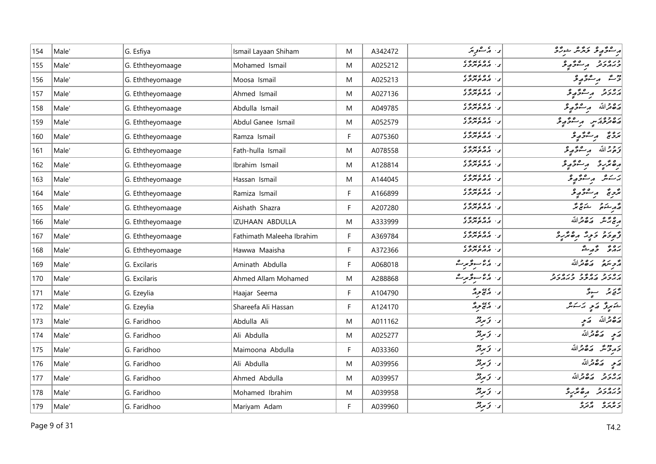| 154 | Male' | G. Esfiya        | Ismail Layaan Shiham      | M         | A342472 | ی گرگورگر                       | ر ھۇرپۇ كەرگە ھەرگ                                     |
|-----|-------|------------------|---------------------------|-----------|---------|---------------------------------|--------------------------------------------------------|
| 155 | Male' | G. Eththeyomaage | Mohamed Ismail            | ${\sf M}$ | A025212 | 202000<br>2 <sup>.</sup> ההפתכצ | ورەرو مەشرەپر                                          |
| 156 | Male' | G. Eththeyomaage | Moosa Ismail              | M         | A025213 | c s x c o c<br>s x n q n x - s  | دین مصر<br>حراکته<br>ەرسىۋەيج                          |
| 157 | Male' | G. Eththeyomaage | Ahmed Ismail              | M         | A027136 | c s x c o c<br>S INGIN : S      | پروژو<br>ەرسىۋەپرى                                     |
| 158 | Male' | G. Eththeyomaage | Abdulla Ismail            | ${\sf M}$ | A049785 | c s x c o c<br>S INGIN : S      | ە سىقۇمەمۇ<br>برە تراللە                               |
| 159 | Male' | G. Eththeyomaage | Abdul Ganee Ismail        | M         | A052579 | 202000<br>2 <sup>.</sup> ההפתכצ | ره وه د سر<br>اړه مرڅور س<br>ەرسىۋەيج                  |
| 160 | Male' | G. Eththeyomaage | Ramza Ismail              | F         | A075360 | 202000<br>2 <sup>.</sup> ההפתכצ | رەپە مەشۇر                                             |
| 161 | Male' | G. Eththeyomaage | Fath-hulla Ismail         | M         | A078558 | 202000<br>2 <sup>0</sup> ההפתכצ | ترة جر الله<br>ەرسىۋەيچ                                |
| 162 | Male' | G. Eththeyomaage | Ibrahim Ismail            | ${\sf M}$ | A128814 | s s x c o c<br>s x p n n s      | ەرھەترىر <sup>ە</sup>                                  |
| 163 | Male' | G. Eththeyomaage | Hassan Ismail             | M         | A144045 | coxcoc<br>songaa : s            | ەر سۇ ئەر<br>برسەيىتە                                  |
| 164 | Male' | G. Eththeyomaage | Ramiza Ismail             | F         | A166899 | s s x c o c<br>s x p n n s      | ەرسىۋەيچ<br>ترْحِ تَحْ                                 |
| 165 | Male' | G. Eththeyomaage | Aishath Shazra            | F         | A207280 | C 4 7 C 0 C<br>S 7 N P N N S    | و.<br>د کار شکوهی<br>شەڭج ئىگە                         |
| 166 | Male' | G. Eththeyomaage | IZUHAAN ABDULLA           | ${\sf M}$ | A333999 | י ההממיניים<br>הממיניים בי      | م محمدٌ مَنْ صَدَاللّه                                 |
| 167 | Male' | G. Eththeyomaage | Fathimath Maleeha Ibrahim | F         | A369784 | 202000<br>2 <sup>.</sup> ההפתכצ | توجوجه درية مصريرة                                     |
| 168 | Male' | G. Eththeyomaage | Hawwa Maaisha             | F         | A372366 | c s x c o c<br>S P M P A A · S  | رً مر شگر<br>برەپچ                                     |
| 169 | Male' | G. Excilaris     | Aminath Abdulla           | F         | A068018 | ى بەر ئۇسىۋىر شە<br>ジン          | مَەھىراللە<br>ړ د سره                                  |
| 170 | Male' | G. Excilaris     | Ahmed Allam Mohamed       | M         | A288868 | ، مەھبەدى بەرگە<br>ئ            | נסנד נסטר דנסנד<br>המכת ההיכב במהכת                    |
| 171 | Male' | G. Ezeylia       | Haajar Seema              | F         | A104790 | ی می میگر                       | محرم حر<br>مرگ محر<br>سىر                              |
| 172 | Male' | G. Ezeylia       | Shareefa Ali Hassan       | F         | A124170 | ، می دوگر<br>د . منح م          | ڪيپڙ کي پاڪس                                           |
| 173 | Male' | G. Faridhoo      | Abdulla Ali               | M         | A011162 | ی کو توفر                       | رە تراللە<br>رځ پو                                     |
| 174 | Male' | G. Faridhoo      | Ali Abdulla               | ${\sf M}$ | A025277 | ى - قەيمەتىر                    | أصَحِ صَصْحَداللّه                                     |
| 175 | Male' | G. Faridhoo      | Maimoona Abdulla          | F         | A033360 | ى - قەمبەتى                     | ترمز من محصرالله                                       |
| 176 | Male' | G. Faridhoo      | Ali Abdulla               | M         | A039956 | ى - تۆمىرىم                     | أَصَعِيدِ صَنْقَاتِمَاللَّهُ                           |
| 177 | Male' | G. Faridhoo      | Ahmed Abdulla             | ${\sf M}$ | A039957 | ى - قەميەتى                     | مەھىراللە<br>بر 2 د ج<br>م <i>ر</i> بر <del>5</del> تر |
| 178 | Male' | G. Faridhoo      | Mohamed Ibrahim           | M         | A039958 | ى - قەيموقۇ                     | و ر ه ر و<br>د بر پر تر<br>ەر ھەتىر ر                  |
| 179 | Male' | G. Faridhoo      | Mariyam Adam              | F         | A039960 | ى - قەيمەتىر                    | ر ه ر ه<br><del>ر</del> بربر ژ                         |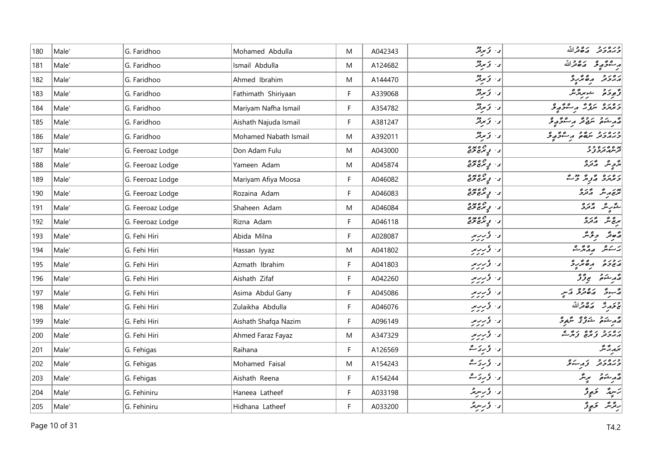| 180 | Male' | G. Faridhoo      | Mohamed Abdulla       | M           | A042343 | ء <sub>`</sub> توسیقر                | وره رو رووالله                      |
|-----|-------|------------------|-----------------------|-------------|---------|--------------------------------------|-------------------------------------|
| 181 | Male' | G. Faridhoo      | Ismail Abdulla        | M           | A124682 | ى كەنبەتى                            | مر عوصر محدد الله                   |
| 182 | Male' | G. Faridhoo      | Ahmed Ibrahim         | M           | A144470 | ى - قەيرىم                           | أرور وه محمدة                       |
| 183 | Male' | G. Faridhoo      | Fathimath Shiriyaan   | F           | A339068 | ء و تر مرقثر                         | و ده شومرو ش                        |
| 184 | Male' | G. Faridhoo      | Mariyam Nafha Ismail  | F           | A354782 | ى كەتىرىم                            | גם גם גם 2 השיבה 2                  |
| 185 | Male' | G. Faridhoo      | Aishath Najuda Ismail | F           | A381247 | <sub>ی</sub> کومرنژ                  | مەم شەم سرەش مەسرىم بو              |
| 186 | Male' | G. Faridhoo      | Mohamed Nabath Ismail | M           | A392011 | ء و تر مرقثر                         | ورەرو رەۋ رەۋرو                     |
| 187 | Male' | G. Feeroaz Lodge | Don Adam Fulu         | M           | A043000 | <br>  د ۱ ، ویژه بوده                | ید ه ۶ بر ه و و<br>ترسمه ترو تو تر  |
| 188 | Male' | G. Feeroaz Lodge | Yameen Adam           | M           | A045874 | ء په پرچ پوه                         | أثرج شروع أثروه                     |
| 189 | Male' | G. Feeroaz Lodge | Mariyam Afiya Moosa   | F           | A046082 | ، په کړه پوه په کلي.                 | במוב הקית כי                        |
| 190 | Male' | G. Feeroaz Lodge | Rozaina Adam          | F           | A046083 | ر ، و ۵۶۵۶ و.<br>د ۱ و مربع مربع     | بریر مرکز میکنده<br>مستقارینگر مرکز |
| 191 | Male' | G. Feeroaz Lodge | Shaheen Adam          | M           | A046084 |                                      | شمي شره د کرده ک                    |
| 192 | Male' | G. Feeroaz Lodge | Rizna Adam            | $\mathsf F$ | A046118 |                                      | ە ئەسىر ئەرە                        |
| 193 | Male' | G. Fehi Hiri     | Abida Milna           | $\mathsf F$ | A028087 | <br>  ی. کی <u>درس</u>               | أرصم وقسر                           |
| 194 | Male' | G. Fehi Hiri     | Hassan lyyaz          | ${\sf M}$   | A041802 | <br>  ی. ن <u>گررنرس</u>             | ئەسكەش مەمەرگەت                     |
| 195 | Male' | G. Fehi Hiri     | Azmath Ibrahim        | F           | A041803 | ی. کی ریر<br>  ی. ک <u>. ر. ر</u>    | رورو مصريره                         |
| 196 | Male' | G. Fehi Hiri     | Aishath Zifaf         | F           | A042260 | اء کارریز<br>ا                       | أَمَّارِ شَقَّ بِمَارَّدْ           |
| 197 | Male' | G. Fehi Hiri     | Asima Abdul Gany      | $\mathsf F$ | A045086 | - كوررير<br> - كور <u>رير</u>        | و ده ده ده وه د مبر                 |
| 198 | Male' | G. Fehi Hiri     | Zulaikha Abdulla      | F           | A046076 | --<br> ی- ڈرریر<br>                  | تحكم تحديث وكالحاقة                 |
| 199 | Male' | G. Fehi Hiri     | Aishath Shafqa Nazim  | F           | A096149 | - كى <i>رىرى</i> ر                   | مەر شەم شۇرقى مەر                   |
| 200 | Male' | G. Fehi Hiri     | Ahmed Faraz Fayaz     | M           | A347329 | ى كۆرىدى                             | رەرد رەە رەر                        |
| 201 | Male' | G. Fehigas       | Raihana               | F           | A126569 | ى كۆرىمىگە                           | لئەر بەتتە                          |
| 202 | Male' | G. Fehigas       | Mohamed Faisal        | M           | A154243 | <sub>ى</sub> ، ئۇر <sub>ى</sub> مىشە | ورەرو ۋەبىكى                        |
| 203 | Male' | G. Fehigas       | Aishath Reena         | F           | A154244 | <sub>ی</sub> . ڈریزے                 | و ديده مرس                          |
| 204 | Male' | G. Fehiniru      | Haneea Latheef        | F.          | A033198 | [ <sub>د :</sub> وَرِسِهُ            | رَسِيدٌ وَجوِرْ                     |
| 205 | Male' | G. Fehiniru      | Hidhana Latheef       | F           | A033200 | ى ئۇرىيەتە                           | رِ پَرُ پَر پَر پِر ک               |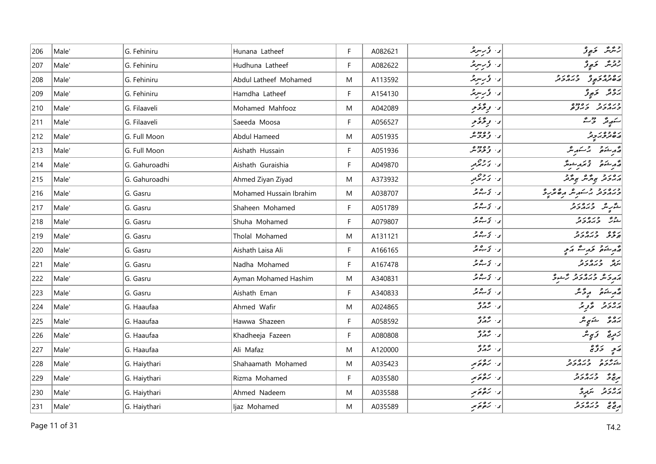| 206 | Male' | G. Fehiniru   | Hunana Latheef          | $\mathsf F$ | A082621 | ء <sub>'</sub> وُرِسِهُ     | رَ يَرْ بَرَ يَو بِرْ                                                                                                                                                                                                                                                                                                         |
|-----|-------|---------------|-------------------------|-------------|---------|-----------------------------|-------------------------------------------------------------------------------------------------------------------------------------------------------------------------------------------------------------------------------------------------------------------------------------------------------------------------------|
| 207 | Male' | G. Fehiniru   | Hudhuna Latheef         | F           | A082622 | د کار سرچه                  | دوستر محبو <sup>و</sup>                                                                                                                                                                                                                                                                                                       |
| 208 | Male' | G. Fehiniru   | Abdul Latheef Mohamed   | M           | A113592 | [ <i>د · ۆر</i> ىيەچمە      | - <i>دره د</i> و<br>ره وه ر<br>مەھىرم <del>ك</del> رېږ                                                                                                                                                                                                                                                                        |
| 209 | Male' | G. Fehiniru   | Hamdha Latheef          | F           | A154130 |                             | پرونگر کرېږو                                                                                                                                                                                                                                                                                                                  |
| 210 | Male' | G. Filaaveli  | Mohamed Mahfooz         | M           | A042089 | ء کو وگو کو                 | ور ه ر و د ر ده ده<br>ح پر پر سر کر د کر ش                                                                                                                                                                                                                                                                                    |
| 211 | Male' | G. Filaaveli  | Saeeda Moosa            | $\mathsf F$ | A056527 | اء وقرة و                   | سَمَدٍ مَرْ -2 مَسَّمَّ                                                                                                                                                                                                                                                                                                       |
| 212 | Male' | G. Full Moon  | Abdul Hameed            | M           | A051935 | و ه ود ه<br>د ۰ ز د در س    | ړه وه ر<br>په هنرو پر د                                                                                                                                                                                                                                                                                                       |
| 213 | Male' | G. Full Moon  | Aishath Hussain         | F           | A051936 | د و و ده و.<br>د ۰ ز د در س |                                                                                                                                                                                                                                                                                                                               |
| 214 | Male' | G. Gahuroadhi | Aishath Guraishia       | F           | A049870 | ء کارگرمر                   |                                                                                                                                                                                                                                                                                                                               |
| 215 | Male' | G. Gahuroadhi | Ahmed Ziyan Ziyad       | M           | A373932 | ا د ان ترجم د بر ا          | גם גד תואית תוארת<br>גגבת תואית תואת                                                                                                                                                                                                                                                                                          |
| 216 | Male' | G. Gasru      | Mohamed Hussain Ibrahim | M           | A038707 | لى - ئۇسۇمۇ                 | ورەرو چە شهر شهر مەھكرى                                                                                                                                                                                                                                                                                                       |
| 217 | Male' | G. Gasru      | Shaheen Mohamed         | $\mathsf F$ | A051789 | ى ئۇسۇم                     | أشكر مردرد                                                                                                                                                                                                                                                                                                                    |
| 218 | Male' | G. Gasru      | Shuha Mohamed           | F           | A079807 | ى كۆسۈمى                    |                                                                                                                                                                                                                                                                                                                               |
| 219 | Male' | G. Gasru      | Tholal Mohamed          | M           | A131121 | ى گەنبەتە                   | ر و دره رو<br>بوڅو وبرمرح                                                                                                                                                                                                                                                                                                     |
| 220 | Male' | G. Gasru      | Aishath Laisa Ali       | F           | A166165 | ى - تۇسۇمۇ                  |                                                                                                                                                                                                                                                                                                                               |
| 221 | Male' | G. Gasru      | Nadha Mohamed           | F           | A167478 | لى - ئۇسۇمۇ                 |                                                                                                                                                                                                                                                                                                                               |
| 222 | Male' | G. Gasru      | Ayman Mohamed Hashim    | M           | A340831 | ى كۆسۈمى                    | أيروس وبرورو المحشو                                                                                                                                                                                                                                                                                                           |
| 223 | Male' | G. Gasru      | Aishath Eman            | F           | A340833 | ى كۆسۈمى                    | وأرشني ولمحمد                                                                                                                                                                                                                                                                                                                 |
| 224 | Male' | G. Haaufaa    | Ahmed Wafir             | M           | A024865 | ، ژوژ                       | ړورو ځېږ                                                                                                                                                                                                                                                                                                                      |
| 225 | Male' | G. Haaufaa    | Hawwa Shazeen           | F           | A058592 | ى گەفۇ                      | برە ئەسكىم ئىر                                                                                                                                                                                                                                                                                                                |
| 226 | Male' | G. Haaufaa    | Khadheeja Fazeen        | F           | A080808 | ى ئەردى                     |                                                                                                                                                                                                                                                                                                                               |
| 227 | Male' | G. Haaufaa    | Ali Mafaz               | M           | A120000 | ى ئەرىخ                     | $\begin{array}{ c c } \hline 0 & 0 & 0 & 0 \\ 0 & 0 & 0 & 0 \\ 0 & 0 & 0 & 0 \\ 0 & 0 & 0 & 0 \\ 0 & 0 & 0 & 0 \\ 0 & 0 & 0 & 0 \\ 0 & 0 & 0 & 0 \\ 0 & 0 & 0 & 0 \\ 0 & 0 & 0 & 0 & 0 \\ 0 & 0 & 0 & 0 & 0 \\ 0 & 0 & 0 & 0 & 0 \\ 0 & 0 & 0 & 0 & 0 & 0 \\ 0 & 0 & 0 & 0 & 0 & 0 \\ 0 & 0 & 0 & 0 & 0 & 0 \\ 0 & 0 & 0 & 0$ |
| 228 | Male' | G. Haiythari  | Shahaamath Mohamed      | M           | A035423 | ى ئەھمۇمىر                  | ر د در دره در<br>شوروه ورمارد                                                                                                                                                                                                                                                                                                 |
| 229 | Male' | G. Haiythari  | Rizma Mohamed           | F           | A035580 | ى گەھۇمىيە                  | و رە ر د<br>تر پر تر تر<br>سرچ پڅ                                                                                                                                                                                                                                                                                             |
| 230 | Male' | G. Haiythari  | Ahmed Nadeem            | M           | A035588 | ى ئەھمۇمىر                  | رەرو ئىرو                                                                                                                                                                                                                                                                                                                     |
| 231 | Male' | G. Haiythari  | ljaz Mohamed            | M           | A035589 | ى گەھۇمىيە                  | $5,012$ $82$                                                                                                                                                                                                                                                                                                                  |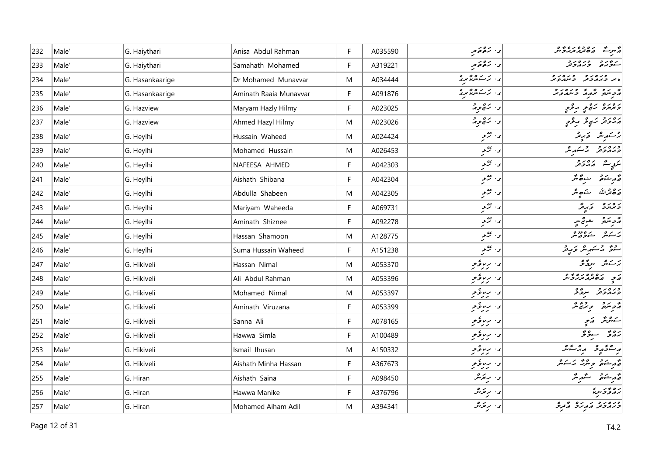| 232 | Male' | G. Haiythari    | Anisa Abdul Rahman     | F  | A035590 | ى ئەھمۇمىيە                    | ر ٥ ۶ ٥ ٥ ٥ ٥ ٩<br>پره تر پر بر بر بر<br>ر محمد مرکب |
|-----|-------|-----------------|------------------------|----|---------|--------------------------------|------------------------------------------------------|
| 233 | Male' | G. Haiythari    | Samahath Mohamed       | F. | A319221 | ى ئەھمۇمىر                     | ر دره دره دره<br>سکوره ورمارد                        |
| 234 | Male' | G. Hasankaarige | Dr Mohamed Munavvar    | M  | A034444 | <sub>ى</sub> ئەسكەنگەنگەنچونچە |                                                      |
| 235 | Male' | G. Hasankaarige | Aminath Raaia Munavvar | F. | A091876 | ى ئەسكەنلەر ئە                 | הכית האי כיתובת                                      |
| 236 | Male' | G. Hazview      | Maryam Hazly Hilmy     | F  | A023025 | ی کے حوالہ                     | روره رو رود<br>د برمرد رج د برود                     |
| 237 | Male' | G. Hazview      | Ahmed Hazyl Hilmy      | M  | A023026 | ی کے عرور                      | رەرد رىپى بىر                                        |
| 238 | Male' | G. Heylhi       | Hussain Waheed         | M  | A024424 | ى بىمبى                        | جرسكمر يثمر وكريتمر                                  |
| 239 | Male' | G. Heylhi       | Mohamed Hussain        | M  | A026453 | ى بى مىيى بى                   | ورەرو ورىدىگ                                         |
| 240 | Male' | G. Heylhi       | NAFEESA AHMED          | F  | A042303 | —<br>ای کشی                    | سَمَدٍ سَنَةً مَصَدَّدَ مَد                          |
| 241 | Male' | G. Heylhi       | Aishath Shibana        | F  | A042304 | ای به محکمه<br>ا               | ړې شکو شرځ ش                                         |
| 242 | Male' | G. Heylhi       | Abdulla Shabeen        | M  | A042305 | ى بىمىمى                       | مَرْهُ مَّرَاللَّهُ شَوَصْرٌ                         |
| 243 | Male' | G. Heylhi       | Mariyam Waheeda        | F  | A069731 | ے<br>ای <sup>5</sup> شرط       | دەرە كەبۇ                                            |
| 244 | Male' | G. Heylhi       | Aminath Shiznee        | F  | A092278 | ى به محيمو                     | أترجر ستركم المسوء والمحر المحر                      |
| 245 | Male' | G. Heylhi       | Hassan Shamoon         | M  | A128775 | ى بىستىمىي                     | بر کاش شودهاس                                        |
| 246 | Male' | G. Heylhi       | Suma Hussain Waheed    | F  | A151238 | ى بىمىمى                       | جۇ جىسكىرىكر ھەيد                                    |
| 247 | Male' | G. Hikiveli     | Hassan Nimal           | M  | A053370 | ای پر رہائے<br>سیسے سر         | يُرْسَدُ سِردَّكَرُ                                  |
| 248 | Male' | G. Hikiveli     | Ali Abdul Rahman       | M  | A053396 | ى سەر بەھ بىر<br>سەر بەر       | ر ده ده ده ده د                                      |
| 249 | Male' | G. Hikiveli     | Mohamed Nimal          | M  | A053397 | ى سەر ئور                      | כנה בב תוכצ                                          |
| 250 | Male' | G. Hikiveli     | Aminath Viruzana       | F  | A053399 | ى رىپەغ يو                     | و سره و دو ش                                         |
| 251 | Male' | G. Hikiveli     | Sanna Ali              | F  | A078165 | ى رىپەغچ                       | سەئىرىگە كەيچ                                        |
| 252 | Male' | G. Hikiveli     | Hawwa Simla            | F  | A100489 | ى رىپەغچ                       | ر ه و<br>پر د څ<br>روتو<br>پ                         |
| 253 | Male' | G. Hikiveli     | Ismail Ihusan          | M  | A150332 | ى رىپە ئۈم                     | رىقۇرچە روشۇر                                        |
| 254 | Male' | G. Hikiveli     | Aishath Minha Hassan   | F  | A367673 | ای سرده کو<br>سرد سرد کر       | ەر شەر بارا ئاسەر                                    |
| 255 | Male' | G. Hiran        | Aishath Saina          | F  | A098450 | ای- ریزیڈ<br>——                | مەر شىم كىمەت<br>مەر شىم كىمەت                       |
| 256 | Male' | G. Hiran        | Hawwa Manike           | F. | A376796 | ى - ئەيمەنلى                   | برە پەر پ                                            |
| 257 | Male' | G. Hiran        | Mohamed Aiham Adil     | M  | A394341 | ای- ریزیگر<br>——               | כממכת גתמכ התפ                                       |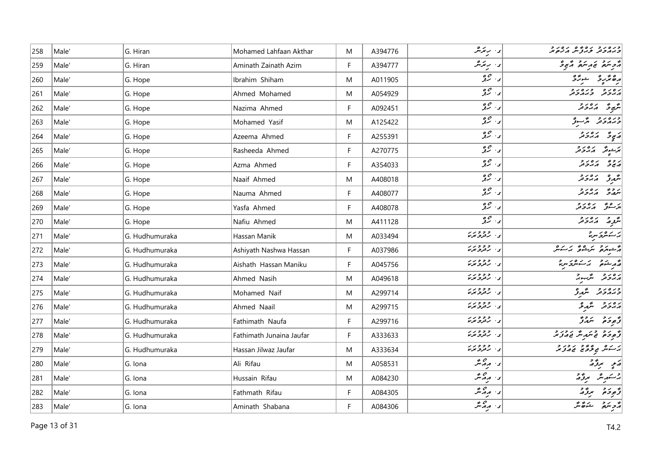| 258 | Male' | G. Hiran       | Mohamed Lahfaan Akthar   | M           | A394776 | ء سر پر میں                              | ورەر د رەپە رەر د<br><i>دىد</i> روپۇس تەرەپر          |
|-----|-------|----------------|--------------------------|-------------|---------|------------------------------------------|-------------------------------------------------------|
| 259 | Male' | G. Hiran       | Aminath Zainath Azim     | F           | A394777 | <sub>ى</sub> سىبە ئەھ                    | أأدبتكم تمرينكم أجرد                                  |
| 260 | Male' | G. Hope        | Ibrahim Shiham           | M           | A011905 | ا د جوړ                                  | رە ئەر ئىسىمى                                         |
| 261 | Male' | G. Hope        | Ahmed Mohamed            | M           | A054929 | ى بەر بۇ                                 | גפנד כגם בכ<br>הגבת בגהבת                             |
| 262 | Male' | G. Hope        | Nazima Ahmed             | $\mathsf F$ | A092451 | ى بىر بۇ                                 | شيئ مەددىر                                            |
| 263 | Male' | G. Hope        | Mohamed Yasif            | M           | A125422 | ى بىر جو                                 | כנסנכ הבית                                            |
| 264 | Male' | G. Hope        | Azeema Ahmed             | F           | A255391 | ى بىر بۇ                                 |                                                       |
| 265 | Male' | G. Hope        | Rasheeda Ahmed           | F           | A270775 |                                          | ىر<br>مرىيەنگر كەبرى تەر                              |
| 266 | Male' | G. Hope        | Azma Ahmed               | F           | A354033 | ى بەر بۇ                                 | 7.01 371                                              |
| 267 | Male' | G. Hope        | Naaif Ahmed              | M           | A408018 | ى بىر جو                                 | لتندو<br>پروژو                                        |
| 268 | Male' | G. Hope        | Nauma Ahmed              | F           | A408077 | ى بىر جو                                 | سرويح<br>ەرەر                                         |
| 269 | Male' | G. Hope        | Yasfa Ahmed              | $\mathsf F$ | A408078 | په همنگو                                 | بر ٥ پر و<br>م <i>ر</i> بر <del>و</del> تر<br>ېز شوتر |
| 270 | Male' | G. Hope        | Nafiu Ahmed              | M           | A411128 | ى بىر جو                                 | أشروه برورد                                           |
| 271 | Male' | G. Hudhumuraka | Hassan Manik             | M           | A033494 | و و و و ر ر<br>ی - رفرو بون              | ر<br>ئەسەملىرى س <sub>ى</sub> رىق                     |
| 272 | Male' | G. Hudhumuraka | Ashiyath Nashwa Hassan   | F           | A037986 | و و و و ر ر<br>د ۱ رتو <del>ر</del> برنا | أأر شوارة أمر مركب أو المركب الركب المر               |
| 273 | Male' | G. Hudhumuraka | Aishath Hassan Maniku    | F           | A045756 | و و و در ر<br>د ۱ رتو <del>ر</del> برنا  | مەر شىم ئەسكىرى بىر                                   |
| 274 | Male' | G. Hudhumuraka | Ahmed Nasih              | M           | A049618 | و و و در.<br>د گلاچ بود                  | أرەر ئەسىر                                            |
| 275 | Male' | G. Hudhumuraka | Mohamed Naif             | M           | A299714 | و و و در ر<br>د ۱ رترو برنا              | ورەرو شهر                                             |
| 276 | Male' | G. Hudhumuraka | Ahmed Naail              | M           | A299715 | و و و و ر ر<br>د ۱ رتو <del>ر</del> برنا | رەر شەر                                               |
| 277 | Male' | G. Hudhumuraka | Fathimath Naufa          | F           | A299716 | و و و و ر ر<br>و . گلاپ بنرما            | أزجوخهم سمدتر                                         |
| 278 | Male' | G. Hudhumuraka | Fathimath Junaina Jaufar | $\mathsf F$ | A333633 | و و و در ر<br>د ۱ رترو برنا              | وتجوده وسمرش ومدد                                     |
| 279 | Male' | G. Hudhumuraka | Hassan Jilwaz Jaufar     | M           | A333634 | و و و و ر ر<br>ی - رفرو برنا             | ر کړه ده ده ده دره د                                  |
| 280 | Male' | G. Iona        | Ali Rifau                | M           | A058531 | ی مرمگ                                   | أوسمي سرقرها                                          |
| 281 | Male' | G. Iona        | Hussain Rifau            | M           | A084230 | ى بەر ئەش                                | ر سەر شەر بودۇ.<br>مەسىر بىر                          |
| 282 | Male' | G. Iona        | Fathmath Rifau           | F           | A084305 | ى مەمەتتە                                | أوهوده<br>ىرۇپ                                        |
| 283 | Male' | G. Iona        | Aminath Shabana          | $\mathsf F$ | A084306 | ی مرمگ                                   | أرديده المناصر                                        |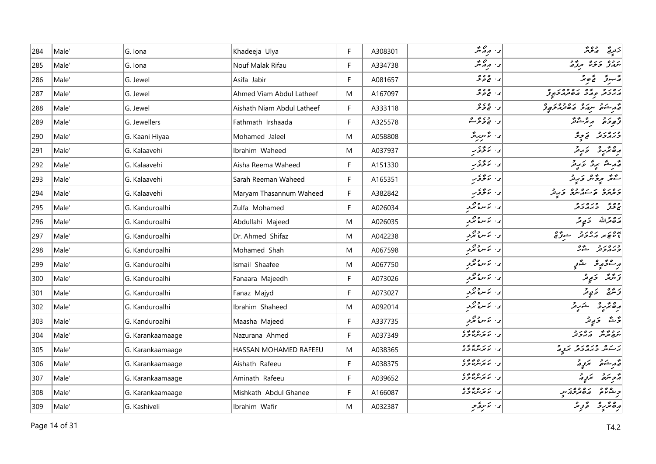| 284 | Male' | G. Iona          | Khadeeja Ulya              | F  | A308301 | ی مرکز مگر                            | زَمَرِيحَ الْأَحْرَادُ                                                                                        |
|-----|-------|------------------|----------------------------|----|---------|---------------------------------------|---------------------------------------------------------------------------------------------------------------|
| 285 | Male' | G. Iona          | Nouf Malak Rifau           | F. | A334738 | ى بەرگەنتر                            | بروه رره برور                                                                                                 |
| 286 | Male' | G. Jewel         | Asifa Jabir                | F. | A081657 | ى بى ھى ھ                             | ومبورٌ في حد                                                                                                  |
| 287 | Male' | G. Jewel         | Ahmed Viam Abdul Latheef   | M  | A167097 | ى بى ھى ھ                             | גם גב פיים גם כפי ס<br>גגבת פניכ גם מגבית צ                                                                   |
| 288 | Male' | G. Jewel         | Aishath Niam Abdul Latheef | F  | A333118 | د ، ه ه ه و                           | ה' איבים יעד הסינות ה                                                                                         |
| 289 | Male' | G. Jewellers     | Fathmath Irshaada          | F  | A325578 | ى بەر ئەر                             | توجوجو المراشقة                                                                                               |
| 290 | Male' | G. Kaani Hiyaa   | Mohamed Jaleel             | M  | A058808 | ى ، ئامىرىدىگە<br>س                   | ورەر دىم يە                                                                                                   |
| 291 | Male' | G. Kalaavehi     | Ibrahim Waheed             | M  | A037937 | ى بە ئەقۋىر                           | رە ئۆر ئەيە                                                                                                   |
| 292 | Male' | G. Kalaavehi     | Aisha Reema Waheed         | F  | A151330 | ، ئەقەۋىر                             | أقهر مشكو المحارية                                                                                            |
| 293 | Male' | G. Kalaavehi     | Sarah Reeman Waheed        | F  | A165351 | ، ئەمۇھەر<br>ا <sup>ى ،</sup> ئىمۇھەر | سە ئەرگەر كەيدىر                                                                                              |
| 294 | Male' | G. Kalaavehi     | Maryam Thasannum Waheed    | F. | A382842 | —<br> ى- ئىقۇم ئە                     | נים נים בינים בייברי בייברי                                                                                   |
| 295 | Male' | G. Kanduroalhi   | Zulfa Mohamed              | F  | A026034 | ى سەكىسى تېڭرىپ                       | وه وره رو<br>بحرق وبرمرد                                                                                      |
| 296 | Male' | G. Kanduroalhi   | Abdullahi Majeed           | M  | A026035 | ى سىگىنىدىكى بىر                      | پرھ قرالله   تاتی قر                                                                                          |
| 297 | Male' | G. Kanduroalhi   | Dr. Ahmed Shifaz           | M  | A042238 | ى سەكىسى تېڭرىپ                       | برەر برەرد ھۆق<br>جىمەس برېرى ھۆق                                                                             |
| 298 | Male' | G. Kanduroalhi   | Mohamed Shah               | M  | A067598 | ى سىد ئىرىمىيە                        | ورەر دەر                                                                                                      |
| 299 | Male' | G. Kanduroalhi   | Ismail Shaafee             | M  | A067750 | ى سىگەن تەرەپىر                       | بر جۇم ئىم ھىسىمبر                                                                                            |
| 300 | Male' | G. Kanduroalhi   | Fanaara Majeedh            | F  | A073026 | ى ئەسىۋەتر                            | ۇشرىگە كەلم بىر                                                                                               |
| 301 | Male' | G. Kanduroalhi   | Fanaz Majyd                | F. | A073027 | ى سەكىسى تېڭرىپ                       | ترتترج وتحييش                                                                                                 |
| 302 | Male' | G. Kanduroalhi   | Ibrahim Shaheed            | M  | A092014 | ى سىگىنىدىكى بىر                      | 5, 20, 0,<br>ے کے رکھر<br>پخ                                                                                  |
| 303 | Male' | G. Kanduroalhi   | Maasha Majeed              | F  | A337735 | ى سىدىن تۈرىپ                         | وَّحَدٌ وَمِرٍ وَ                                                                                             |
| 304 | Male' | G. Karankaamaage | Nazurana Ahmed             | F  | A037349 | ى سىم ئىر ھەم جەم<br>ي                | بروه می ده دو                                                                                                 |
| 305 | Male' | G. Karankaamaage | HASSAN MOHAMED RAFEEU      | M  | A038365 | ى سىمىتىرى <i>نى ۋە</i>               | ير شاعر المردم و المردم المركز و المركز به المركز به المركز به المركز به المركز به المركز به المركز به المركز |
| 306 | Male' | G. Karankaamaage | Aishath Rafeeu             | F  | A038375 | ر به ره ۶۶۶<br>د ۱ مرس رو د           | مەرخىم ئۇم                                                                                                    |
| 307 | Male' | G. Karankaamaage | Aminath Rafeeu             | F  | A039652 | ر به ره ۶۶۶<br>د ۱ مرس رو د           | أأروسكم تكروها                                                                                                |
| 308 | Male' | G. Karankaamaage | Mishkath Abdul Ghanee      | F. | A166087 | ى سىمىتىرى <i>نى</i> تەرەپ<br>ئ       | - مقرح بره وه در بر<br>د شونامو بر مصر در کم بر                                                               |
| 309 | Male' | G. Kashiveli     | Ibrahim Wafir              | M  | A032387 | ى ئەبرەتچ                             | رەپزىر ئورتم                                                                                                  |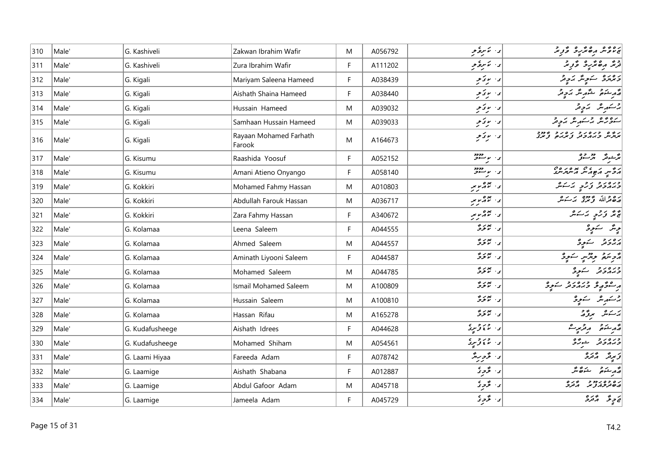| 310 | Male' | G. Kashiveli    | Zakwan Ibrahim Wafir             | ${\sf M}$ | A056792 | <sub>ی</sub> عمرهٔ محر                                                                                                        | ى ئەۋىر مەھرىرى ۋېر                                |
|-----|-------|-----------------|----------------------------------|-----------|---------|-------------------------------------------------------------------------------------------------------------------------------|----------------------------------------------------|
| 311 | Male' | G. Kashiveli    | Zura Ibrahim Wafir               | F         | A111202 | ى ئەبرەمۇ                                                                                                                     | فرنگر مەنگەر ئەرىگە                                |
| 312 | Male' | G. Kigali       | Mariyam Saleena Hameed           | F         | A038439 | ى سوئىچە                                                                                                                      | د ۱۳۶۶   سَوِینَ ټروپنځ                            |
| 313 | Male' | G. Kigali       | Aishath Shaina Hameed            | F         | A038440 | ى سوئىچە                                                                                                                      | و<br>وگرېشونو شورس پرور                            |
| 314 | Male' | G. Kigali       | Hussain Hameed                   | M         | A039032 | ى سوئىچە                                                                                                                      | برستهر شرا براياني                                 |
| 315 | Male' | G. Kigali       | Samhaan Hussain Hameed           | M         | A039033 | ى سوئىچە                                                                                                                      | رووما والمستهر مراد والمحمد                        |
| 316 | Male' | G. Kigali       | Rayaan Mohamed Farhath<br>Farook | M         | A164673 | ى سوئىچە                                                                                                                      | ה הם כנסגב הסגב החבב<br>הנדיניה בההכנה צ'הנהם צ'הנ |
| 317 | Male' | G. Kisumu       | Raashida Yoosuf                  | F         | A052152 | $\begin{bmatrix} 2 & 2 & 3 \\ 2 & 3 & 3 \\ 3 & 3 & 4 \end{bmatrix}$                                                           |                                                    |
| 318 | Male' | G. Kisumu       | Amani Atieno Onyango             | F         | A058140 | $\begin{array}{c}\n\overline{mn} & \overline{m} \\ \overline{3m} & \overline{m} \\ \overline{2m} & \overline{m}\n\end{array}$ |                                                    |
| 319 | Male' | G. Kokkiri      | Mohamed Fahmy Hassan             | M         | A010803 | $5 - 27$                                                                                                                      | ورەرو روپە ئەسەر                                   |
| 320 | Male' | G. Kokkiri      | Abdullah Farouk Hassan           | M         | A036717 | $\frac{1}{2}$                                                                                                                 | رە قراللە ئۇچرى ئەسكەنگە                           |
| 321 | Male' | G. Kokkiri      | Zara Fahmy Hassan                | F         | A340672 | 70000                                                                                                                         | ڭ ئۆزى ئەسەر                                       |
| 322 | Male' | G. Kolamaa      | Leena Saleem                     | F         | A044555 | ى سىمىتى ئىچ                                                                                                                  | په سکوچ                                            |
| 323 | Male' | G. Kolamaa      | Ahmed Saleem                     | M         | A044557 | ى سىمىتى ئىچ                                                                                                                  | رەر ئەرۋ                                           |
| 324 | Male' | G. Kolamaa      | Aminath Liyooni Saleem           | F         | A044587 | ى سىمىمى                                                                                                                      | أدويتم والمستنفرة                                  |
| 325 | Male' | G. Kolamaa      | Mohamed Saleem                   | M         | A044785 | ى سىمىتى ئىچ                                                                                                                  | ورەرو سەرو                                         |
| 326 | Male' | G. Kolamaa      | <b>Ismail Mohamed Saleem</b>     | M         | A100809 | ى سىمىتى ئىچ                                                                                                                  | ر عۇرۇ دىمەدىر سېرو                                |
| 327 | Male' | G. Kolamaa      | Hussain Saleem                   | M         | A100810 | ى بىم ئۆگ                                                                                                                     |                                                    |
| 328 | Male' | G. Kolamaa      | Hassan Rifau                     | M         | A165278 | ى سىمىتى ئىچ                                                                                                                  | يز کمش بروژها                                      |
| 329 | Male' | G. Kudafusheege | Aishath Idrees                   | F         | A044628 |                                                                                                                               | و<br>د مرشو مورمرے                                 |
| 330 | Male' | G. Kudafusheege | Mohamed Shiham                   | M         | A054561 |                                                                                                                               | ورەرو ئىدۇۋ                                        |
| 331 | Male' | G. Laami Hiyaa  | Fareeda Adam                     | F         | A078742 | <sub>ى م</sub> محرىرى <i>م</i> ى                                                                                              | كوسيتش المرتزرة                                    |
| 332 | Male' | G. Laamige      | Aishath Shabana                  | F.        | A012887 | ى بۇرگە                                                                                                                       | مُ مِنْدَمْ شَوَّصْرُ                              |
| 333 | Male' | G. Laamige      | Abdul Gafoor Adam                | M         | A045718 | ى بە ئۇچە ئە                                                                                                                  | נ ס כ ס ג רב ב מ ב יירי<br>הם בתיכה ציירה וה הברב  |
| 334 | Male' | G. Laamige      | Jameela Adam                     | F         | A045729 | ى بۇرگە                                                                                                                       |                                                    |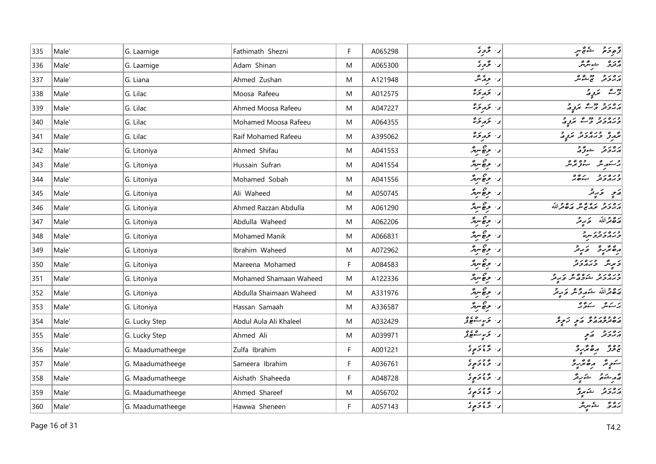| 335 | Male' | G. Laamige       | Fathimath Shezni        | F         | A065298 | $rac{3}{2}$ $rac{3}{2}$                                                                                                       | أوالمحركة والمستقياس                                                                                                                                                                                                         |
|-----|-------|------------------|-------------------------|-----------|---------|-------------------------------------------------------------------------------------------------------------------------------|------------------------------------------------------------------------------------------------------------------------------------------------------------------------------------------------------------------------------|
| 336 | Male' | G. Laamige       | Adam Shinan             | M         | A065300 | ى . ئۇچ ئى                                                                                                                    | پره ش <sub>و</sub> سرچر<br>م                                                                                                                                                                                                 |
| 337 | Male' | G. Liana         | Ahmed Zushan            | ${\sf M}$ | A121948 | ى مۇھەتتە                                                                                                                     | رەرد «ئەر                                                                                                                                                                                                                    |
| 338 | Male' | G. Lilac         | Moosa Rafeeu            | M         | A012575 | ى ئەرىخە                                                                                                                      | د مستعمر د مستقرر د مستقرر استاده مستقرر استاده کردند که استاده کردند که در استاده کردند که در استاده کردند<br>مستقرر استاده کردند کردند کردند کردند کردند کردند کردند کردند کردند کردند کردند کردند کردند کردند کردند کردند |
| 339 | Male' | G. Lilac         | Ahmed Moosa Rafeeu      | M         | A047227 | ى ئەرىخە                                                                                                                      | ג 2 בי מודע הקבור.<br>ג ג ב בג ב האי הקבור.                                                                                                                                                                                  |
| 340 | Male' | G. Lilac         | Mohamed Moosa Rafeeu    | M         | A064355 | ى ئەرىخە                                                                                                                      | כנים ניכי בילי הקיב                                                                                                                                                                                                          |
| 341 | Male' | G. Lilac         | Raif Mohamed Rafeeu     | M         | A395062 | ى ئەرىخە                                                                                                                      | بمرو ورورو بروه                                                                                                                                                                                                              |
| 342 | Male' | G. Litoniya      | Ahmed Shifau            | ${\sf M}$ | A041553 | ى موقع سرچ                                                                                                                    | رەر دۇر.<br>مەركىر شو <i>ۋە</i>                                                                                                                                                                                              |
| 343 | Male' | G. Litoniya      | Hussain Sufran          | ${\sf M}$ | A041554 | ی ویخ سرمر                                                                                                                    | جەسىر ھەر جەم ئە                                                                                                                                                                                                             |
| 344 | Male' | G. Litoniya      | Mohamed Sobah           | M         | A041556 | ى مۇھىرىد                                                                                                                     | وره دو دوه                                                                                                                                                                                                                   |
| 345 | Male' | G. Litoniya      | Ali Waheed              | M         | A050745 | ى موقع سرد                                                                                                                    | أرشح أقرباني                                                                                                                                                                                                                 |
| 346 | Male' | G. Litoniya      | Ahmed Razzan Abdulla    | M         | A061290 | ی وی سرچ                                                                                                                      | ره رو بره ده برودالله                                                                                                                                                                                                        |
| 347 | Male' | G. Litoniya      | Abdulla Waheed          | M         | A062206 | ى موغ سرچ                                                                                                                     | أَرَّةٍ قَدْ اللَّهُ مَ مَرِيْدَ                                                                                                                                                                                             |
| 348 | Male' | G. Litoniya      | <b>Mohamed Manik</b>    | ${\sf M}$ | A066831 | ى موقع سرد                                                                                                                    | ورەرور<br>وبرەر ترىرىدى                                                                                                                                                                                                      |
| 349 | Male' | G. Litoniya      | Ibrahim Waheed          | ${\sf M}$ | A072962 | ى موقع سرد                                                                                                                    |                                                                                                                                                                                                                              |
| 350 | Male' | G. Litoniya      | Mareena Mohamed         | F         | A084583 | ى موقع سردم                                                                                                                   | ويرش ورەرو                                                                                                                                                                                                                   |
| 351 | Male' | G. Litoniya      | Mohamed Shamaan Waheed  | M         | A122336 | ى موقع سردگر                                                                                                                  | ورەر دەر دەر ئەر                                                                                                                                                                                                             |
| 352 | Male' | G. Litoniya      | Abdulla Shaimaan Waheed | M         | A331976 | ى موقع سردمج                                                                                                                  | رە داللە خەرگە ئەيىر                                                                                                                                                                                                         |
| 353 | Male' | G. Litoniya      | Hassan Samaah           | M         | A336587 | ى موقع سرچ                                                                                                                    | يركس كروم                                                                                                                                                                                                                    |
| 354 | Male' | G. Lucky Step    | Abdul Aula Ali Khaleel  | M         | A032429 | $\frac{1}{2}$ $\frac{1}{2}$ $\frac{1}{2}$ $\frac{1}{2}$ $\frac{1}{2}$ $\frac{1}{2}$ $\frac{1}{2}$ $\frac{1}{2}$ $\frac{1}{2}$ | גפניכגבי הבְ קֹבָי                                                                                                                                                                                                           |
| 355 | Male' | G. Lucky Step    | Ahmed Ali               | ${\sf M}$ | A039971 | $3.80$ $-2.4$                                                                                                                 | أرور و مر                                                                                                                                                                                                                    |
| 356 | Male' | G. Maadumatheege | Zulfa Ibrahim           | F         | A001221 | - د د د د ه<br>د ۱۶ و ه د م                                                                                                   | جوو مەمۇرو                                                                                                                                                                                                                   |
| 357 | Male' | G. Maadumatheege | Sameera Ibrahim         | F         | A036761 | 5, 2, 5, 5                                                                                                                    |                                                                                                                                                                                                                              |
| 358 | Male' | G. Maadumatheege | Aishath Shaheeda        | F         | A048728 | ى ئۇقۇمۇ                                                                                                                      | أقهر مشكرة والشكر فكر                                                                                                                                                                                                        |
| 359 | Male' | G. Maadumatheege | Ahmed Shareef           | M         | A056702 | $rac{1}{55555}$                                                                                                               | بر 2 بر 15<br>م.بر <del>5</del> تر<br>ے موثر                                                                                                                                                                                 |
| 360 | Male' | G. Maadumatheege | Hawwa Sheneen           | F         | A057143 | <br>  د ۱۰ د ډه ده د د                                                                                                        | رەم شەئىر                                                                                                                                                                                                                    |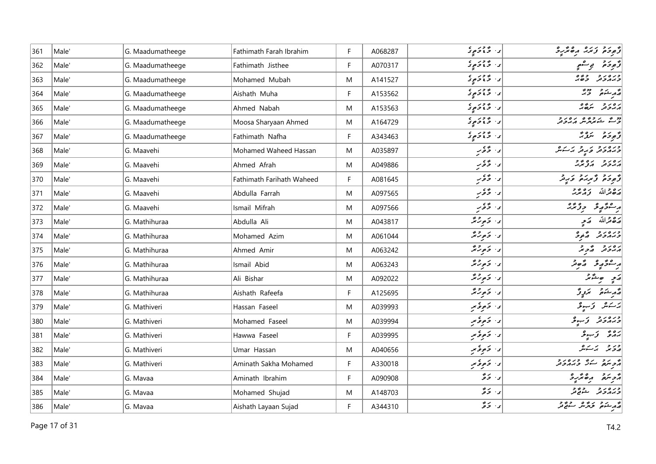| 361 | Male' | G. Maadumatheege | Fathimath Farah Ibrahim   | $\mathsf F$ | A068287 | $\begin{bmatrix} 2 & 2 & 3 \\ 2 & 3 & 5 \end{bmatrix}$      | وتجوجهم وتدر مره تربرد                         |
|-----|-------|------------------|---------------------------|-------------|---------|-------------------------------------------------------------|------------------------------------------------|
| 362 | Male' | G. Maadumatheege | Fathimath Jisthee         | $\mathsf F$ | A070317 | لى ئۇ ئۇمۇمۇ                                                | تزجوخرهم ويراشي                                |
| 363 | Male' | G. Maadumatheege | Mohamed Mubah             | M           | A141527 | د گروگوري                                                   | و ر ه ر و<br><i>و پر</i> پر <del>و</del> تر    |
| 364 | Male' | G. Maadumatheege | Aishath Muha              | F           | A153562 | $rac{1}{2}$ $rac{1}{2}$ $rac{1}{2}$ $rac{1}{2}$ $rac{1}{2}$ | ودمجر<br>و مر شو د<br>مر                       |
| 365 | Male' | G. Maadumatheege | Ahmed Nabah               | M           | A153563 | و د در د<br>د گ <b>ډ</b> جم                                 | رەرو رەو                                       |
| 366 | Male' | G. Maadumatheege | Moosa Sharyaan Ahmed      | M           | A164729 | 5, 22, 5, 5                                                 | دو می بر وجاه بر دار و<br>در مشهور شهر مهاروند |
| 367 | Male' | G. Maadumatheege | Fathimath Nafha           | $\mathsf F$ | A343463 | ر پر در د<br>د گلاتوپر                                      | وٌجوحَمَ سَرُوبٌ                               |
| 368 | Male' | G. Maavehi       | Mohamed Waheed Hassan     | M           | A035897 | ئ ۋۇرِ                                                      | ورەرو رىرۇ ئەسەر                               |
| 369 | Male' | G. Maavehi       | Ahmed Afrah               | M           | A049886 | ء پڻءُر                                                     | גם גם גם ביב<br>הגבע הציגג                     |
| 370 | Male' | G. Maavehi       | Fathimath Farihath Waheed | F           | A081645 | پر پیچی پر                                                  | وتموذه ومرتك وبالم                             |
| 371 | Male' | G. Maavehi       | Abdulla Farrah            | M           | A097565 | ء پی و                                                      | برەقراللە ئەم ئىر                              |
| 372 | Male' | G. Maavehi       | Ismail Mifrah             | M           | A097566 | ى بە ئۇغۇپ                                                  | وحويو ووير                                     |
| 373 | Male' | G. Mathihuraa    | Abdulla Ali               | M           | A043817 | لى - ئەمورىتىگە                                             | 2007 الله كمبحي                                |
| 374 | Male' | G. Mathihuraa    | Mohamed Azim              | M           | A061044 | ى ئەھەر ئە                                                  | ورەر د گور                                     |
| 375 | Male' | G. Mathihuraa    | Ahmed Amir                | M           | A063242 | ى ئەھەر چە                                                  | دەر د ئەر د                                    |
| 376 | Male' | G. Mathihuraa    | Ismail Abid               | M           | A063243 | ، ئەرزىتە                                                   |                                                |
| 377 | Male' | G. Mathihuraa    | Ali Bishar                | M           | A092022 | ى ئەھۇرىگە                                                  | أوزم ويتمر                                     |
| 378 | Male' | G. Mathihuraa    | Aishath Rafeefa           | F           | A125695 | ، ئەرزىمە                                                   | ۇرىشى ئىر <i>ۇ</i>                             |
| 379 | Male' | G. Mathiveri     | Hassan Faseel             | M           | A039993 | ی کوځو تنو                                                  | رىكە ئەسپ <sup>ى</sup>                         |
| 380 | Male' | G. Mathiveri     | Mohamed Faseel            | M           | A039994 | ى كەمۇمىر                                                   | ورەرو كەبدۇ                                    |
| 381 | Male' | G. Mathiveri     | Hawwa Faseel              | F           | A039995 | ى كەمۇمىر                                                   | رەپ زىبەد                                      |
| 382 | Male' | G. Mathiveri     | Umar Hassan               | M           | A040656 | ى ئەھمەتىر                                                  | وروا برسكاهر                                   |
| 383 | Male' | G. Mathiveri     | Aminath Sakha Mohamed     | F.          | A330018 | ى ئەھمۇمر                                                   | و دو ده وره دو                                 |
| 384 | Male' | G. Mavaa         | Aminath Ibrahim           | F.          | A090908 | ى - ئۇنگە                                                   | أأدبتهم بره أردد                               |
| 385 | Male' | G. Mavaa         | Mohamed Shujad            | M           | A148703 | ى بە ئەنگە                                                  | ورەرو دور<br><i>وبەد</i> ونر شەھ               |
| 386 | Male' | G. Mavaa         | Aishath Layaan Sujad      | F           | A344310 | ى بە ئەنگە                                                  | مەر شەھ بور شىر ئىسى ئىر                       |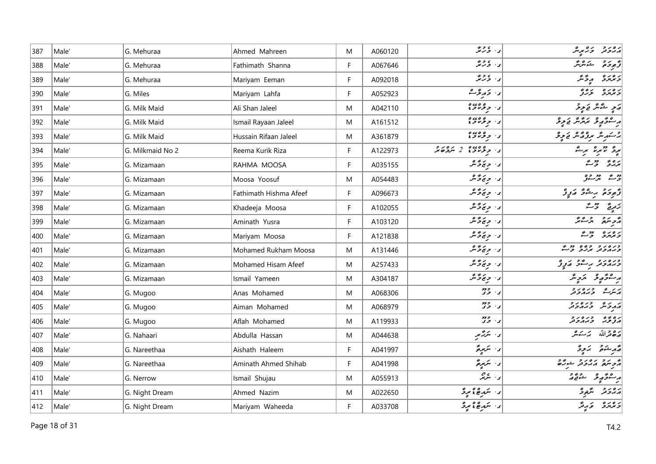| 387 | Male' | G. Mehuraa       | Ahmed Mahreen          | M           | A060120 | لى بەر چەنتىگە               |                                          |
|-----|-------|------------------|------------------------|-------------|---------|------------------------------|------------------------------------------|
| 388 | Male' | G. Mehuraa       | Fathimath Shanna       | F           | A067646 | ى - ئەرىپى                   | أقرم وحرمته والمشريكر                    |
| 389 | Male' | G. Mehuraa       | Mariyam Eeman          | $\mathsf F$ | A092018 | ى - ئەرىپى                   | دەرە بەۋىر                               |
| 390 | Male' | G. Miles         | Mariyam Lahfa          | F           | A052923 | ، ئەر <sup>و</sup> ر         | رەرە رەپ<br>دىرىرو ئورۇ                  |
| 391 | Male' | G. Milk Maid     | Ali Shan Jaleel        | M           | A042110 | ى بەلتىم ئە                  | ړَ پِه عُدٌ وَ پِرِ وَ                   |
| 392 | Male' | G. Milk Maid     | Ismail Rayaan Jaleel   | M           | A161512 | $\sqrt{2489}$                | ړ ه د په د برره که د د د                 |
| 393 | Male' | G. Milk Maid     | Hussain Rifaan Jaleel  | M           | A361879 | $rac{1}{20000}$              | بر سکر شر مروکر شر تے بر و               |
| 394 | Male' | G. Milkmaid No 2 | Reema Kurik Riza       | F           | A122973 |                              |                                          |
| 395 | Male' | G. Mizamaan      | RAHMA MOOSA            | F           | A035155 | ى ئەرىخ چى                   | رەپە دېر                                 |
| 396 | Male' | G. Mizamaan      | Moosa Yoosuf           | M           | A054483 | ى ئەرىخ چىگە                 | در میں دور                               |
| 397 | Male' | G. Mizamaan      | Fathimath Hishma Afeef | $\mathsf F$ | A096673 | ، ئەسىم ئەسىر<br>مەسىر ئەسىر | ژوده برخوڅ مړړو                          |
| 398 | Male' | G. Mizamaan      | Khadeeja Moosa         | F           | A102055 |                              | زَمرِجٌ حَرْبٌ                           |
| 399 | Male' | G. Mizamaan      | Aminath Yusra          | $\mathsf F$ | A103120 | ى ئەرىخ چى                   | הקיתוז הפית                              |
| 400 | Male' | G. Mizamaan      | Mariyam Moosa          | $\mathsf F$ | A121838 |                              | رەرە دور                                 |
| 401 | Male' | G. Mizamaan      | Mohamed Rukham Moosa   | M           | A131446 | ، ئەسىم ئەسىر<br>مەسىر       | ورەرو وەە «م<br><i>دىد</i> روىر برنرو وس |
| 402 | Male' | G. Mizamaan      | Mohamed Hisam Afeef    | M           | A257433 | ، ئەسىم ئەسىر                | ورەرو بەلگە كەر                          |
| 403 | Male' | G. Mizamaan      | Ismail Yameen          | M           | A304187 | ، ئەسىم ئەرگەنلەر<br>ئ       | بر شۇم ئۇ سىر سىر                        |
| 404 | Male' | G. Mugoo         | Anas Mohamed           | M           | A068306 | و دو<br>ی گری                | بر میں دیے دیے                           |
| 405 | Male' | G. Mugoo         | Aiman Mohamed          | M           | A068979 | و د بودد.<br>د ا             | התכיל כמחכת                              |
| 406 | Male' | G. Mugoo         | Aflah Mohamed          | M           | A119933 | و د بودد.<br>د ا             | رەپە درەرد<br>مزگر <i>ב</i> גمەدىر       |
| 407 | Male' | G. Nahaari       | Abdulla Hassan         | M           | A044638 | <br> د· مَرَدَّ مَرِ         | مَدْهُ قَدَاللّه بَرَسَة مِرْ            |
| 408 | Male' | G. Nareethaa     | Aishath Haleem         | F           | A041997 | ى سىرىمى                     | أوالمر شكوا أأتراح والمحمد               |
| 409 | Male' | G. Nareethaa     | Aminath Ahmed Shihab   | F           | A041998 | ى سىرىدۇ.<br>مەسىر           |                                          |
| 410 | Male' | G. Nerrow        | Ismail Shujau          | M           | A055913 | ی شرحه                       | أرساد ويداد والمحصر                      |
| 411 | Male' | G. Night Dream   | Ahmed Nazim            | M           | A022650 | د· سَمَدِ عَ ؟ سِرْدَ        | رەرد شرك                                 |
| 412 | Male' | G. Night Dream   | Mariyam Waheeda        | $\mathsf F$ | A033708 | ى سَمْدِعْ ؟ سِرْدْ          | ترەرە ئەيەتر                             |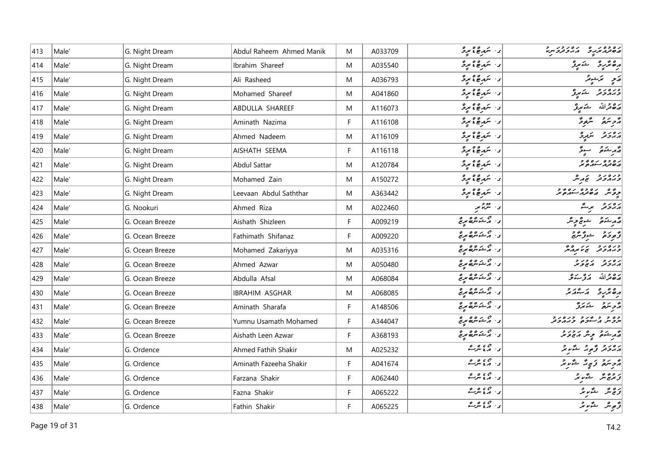| 413 | Male' | G. Night Dream  | Abdul Raheem Ahmed Manik | M  | A033709 | ى سَمْرِ ھِ ؟ سِرْدَ                                                                                                                                                                                    |                                              |
|-----|-------|-----------------|--------------------------|----|---------|---------------------------------------------------------------------------------------------------------------------------------------------------------------------------------------------------------|----------------------------------------------|
| 414 | Male' | G. Night Dream  | Ibrahim Shareef          | M  | A035540 | ى سَمْدِعْ ؟ سِرْدْ                                                                                                                                                                                     | ەرھ ئ <sup>ۆ</sup> ر ۋ                       |
| 415 | Male' | G. Night Dream  | Ali Rasheed              | M  | A036793 | 5, 8, 8, 0.                                                                                                                                                                                             | كامي المرتشوقر                               |
| 416 | Male' | G. Night Dream  | Mohamed Shareef          | M  | A041860 | ى سَمْدِعْ ؟ بَرِدْ                                                                                                                                                                                     | و ر ه ر د<br>د بر پر تر<br>ے موث             |
| 417 | Male' | G. Night Dream  | ABDULLA SHAREEF          | M  | A116073 | ى سەھ قىمىدى                                                                                                                                                                                            | برە تراللە<br>شەَ مور                        |
| 418 | Male' | G. Night Dream  | Aminath Nazima           | F  | A116108 | ى سَمْرِ ھِ ؟ سِرْدَ                                                                                                                                                                                    | ړ څر سرچ<br>سَّرْهُ رَ                       |
| 419 | Male' | G. Night Dream  | Ahmed Nadeem             | M  | A116109 | 5, 8, 8, 0.7                                                                                                                                                                                            | ړ د پر سرمړی کل                              |
| 420 | Male' | G. Night Dream  | AISHATH SEEMA            | F  | A116118 | 3.8881.3                                                                                                                                                                                                | ا پر مرکز در<br>اور مرکز در<br>سىرى          |
| 421 | Male' | G. Night Dream  | <b>Abdul Sattar</b>      | M  | A120784 | ى سَمْدِعْ ؟ سِرْدْ                                                                                                                                                                                     | ر ٥ ر ٥ ر ٥ ر ٥ ر<br>۹ ر ۲ و ۸ سر و مر       |
| 422 | Male' | G. Night Dream  | Mohamed Zain             | M  | A150272 | ى سَمْرِ ھۆمچە                                                                                                                                                                                          | כנים ניבי התייל                              |
| 423 | Male' | G. Night Dream  | Leevaan Abdul Saththar   | M  | A363442 | ى سَمْدِعْ ؟ سِرْدَ                                                                                                                                                                                     | ره وه ره دو.<br>پره تر پر سر موسر<br>مورڅ شر |
| 424 | Male' | G. Nookuri      | Ahmed Riza               | M  | A022460 | ی- میزده مر<br>م                                                                                                                                                                                        | رەرو برگ                                     |
| 425 | Male' | G. Ocean Breeze | Aishath Shizleen         | F  | A009219 | ى بىر شەھرىيى<br>ئ                                                                                                                                                                                      | وكرمشكم الشوج وينكر                          |
| 426 | Male' | G. Ocean Breeze | Fathimath Shifanaz       | F  | A009220 |                                                                                                                                                                                                         | ۇي <sub>ۇ</sub> رۇ ھوۋىترى                   |
| 427 | Male' | G. Ocean Breeze | Mohamed Zakariyya        | M  | A035316 | ى بىر شەھرىمى بىرى                                                                                                                                                                                      | כנסנכ נגם                                    |
| 428 | Male' | G. Ocean Breeze | Ahmed Azwar              | M  | A050480 | $\frac{1}{2}$ = $\frac{1}{2}$ = $\frac{1}{2}$                                                                                                                                                           | ג סג כ גרג כ<br>הגבע השפינ                   |
| 429 | Male' | G. Ocean Breeze | Abdulla Afsal            | M  | A068084 | $\frac{1}{2}$ = $\frac{1}{2}$ = $\frac{1}{2}$                                                                                                                                                           | رە قراللە ئەربىدۇ                            |
| 430 | Male' | G. Ocean Breeze | IBRAHIM ASGHAR           | M  | A068085 | $\frac{1}{2}$                                                                                                                                                                                           | ەر ھەترىرى<br>بر ھەترىرى<br>ىر بەزىر         |
| 431 | Male' | G. Ocean Breeze | Aminath Sharafa          | F. | A148506 |                                                                                                                                                                                                         | أزويتهم المتمرز                              |
| 432 | Male' | G. Ocean Breeze | Yumnu Usamath Mohamed    | F  | A344047 | $rac{1}{2}$                                                                                                                                                                                             | כם כ- כ- גיב כים קב<br>תכית ג'-יבים, כימכת   |
| 433 | Male' | G. Ocean Breeze | Aishath Leen Azwar       | F  | A368193 | $\overset{\circ}{\mathcal{E}}$ $\mathcal{E}$ $\overset{\circ}{\mathcal{E}}$ $\overset{\circ}{\mathcal{E}}$ $\overset{\circ}{\mathcal{E}}$ $\overset{\circ}{\mathcal{E}}$ $\overset{\circ}{\mathcal{E}}$ | و المستوفر المستحدث المستحدث المستحدث        |
| 434 | Male' | G. Ordence      | Ahmed Fathih Shakir      | M  | A025232 | ى مىم ھە                                                                                                                                                                                                | رود ژور ژور ځې                               |
| 435 | Male' | G. Ordence      | Aminath Fazeeha Shakir   | F  | A041674 | ی گروه هرگ                                                                                                                                                                                              | ومحر سكرة وأستج متشار متحر ومراجر            |
| 436 | Male' | G. Ordence      | Farzana Shakir           | F  | A062440 | ی می مه مرک                                                                                                                                                                                             | ر دەپر شەرىر                                 |
| 437 | Male' | G. Ordence      | Fazna Shakir             | F. | A065222 | ى ئۇي ھەرھ                                                                                                                                                                                              | ۇچىگر شەرىر                                  |
| 438 | Male' | G. Ordence      | Fathin Shakir            | F  | A065225 | ى مۇمۇر                                                                                                                                                                                                 | ۇيدىر شىرىر                                  |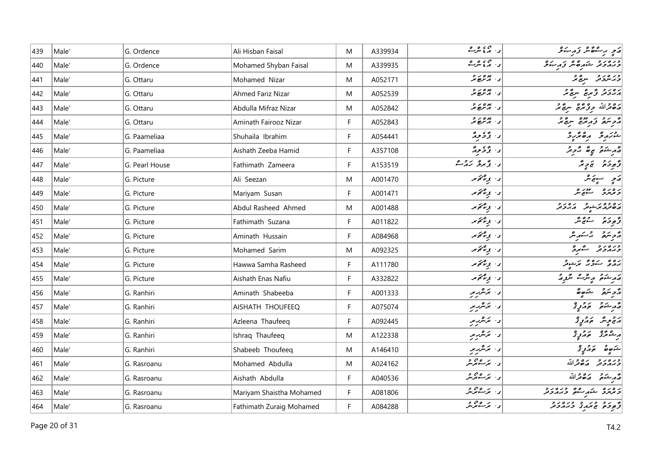| 439 | Male' | G. Ordence     | Ali Hisban Faisal        | M           | A339934 | <sub>ی</sub> . می شرک                | ە ئەسىۋە ئەسكە                                                    |
|-----|-------|----------------|--------------------------|-------------|---------|--------------------------------------|-------------------------------------------------------------------|
| 440 | Male' | G. Ordence     | Mohamed Shyban Faisal    | M           | A339935 | ی می می ه<br>ی مربع میں ک            | ورەرو خىرەش تەرىب                                                 |
| 441 | Male' | G. Ottaru      | Mohamed Nizar            | M           | A052171 | پر مور د<br>ي- مرغو مر               | ورەرو سەر                                                         |
| 442 | Male' | G. Ottaru      | <b>Ahmed Fariz Nizar</b> | M           | A052539 | پر مرد د<br>په مربوغ                 | أرور و و مربع الرجم                                               |
| 443 | Male' | G. Ottaru      | Abdulla Mifraz Nizar     | M           | A052842 | ر برور د<br>د اړمر <u>ه</u> بر       | رەداللە جۇنزى سرچمى                                               |
| 444 | Male' | G. Ottaru      | Aminath Fairooz Nizar    | F           | A052843 | ى بىر مەرچ بىر                       | أأوسع وأرجره سرهم                                                 |
| 445 | Male' | G. Paameliaa   | Shuhaila Ibrahim         | F           | A054441 | ى گە ئۇ ئۇ ئەر                       | شركرى مەھرىرى                                                     |
| 446 | Male' | G. Paameliaa   | Aishath Zeeba Hamid      | F           | A357108 | ى بۇ ئۇ ئورگە                        | أقهر شوقم مح المجمود                                              |
| 447 | Male' | G. Pearl House | Fathimath Zameera        | F           | A153519 | ى ، ئۇ بىرقە ئەرمى                   | توجوخوا المحاج مالكر                                              |
| 448 | Male' | G. Picture     | Ali Seezan               | M           | A001470 | ى بورگىمىد                           | أرشح سيتماشر                                                      |
| 449 | Male' | G. Picture     | Mariyam Susan            | F           | A001471 | ، بو <i>نائمى</i> ر                  | נים נים מיניים.<br>בינו <i>ת כ</i>                                |
| 450 | Male' | G. Picture     | Abdul Rasheed Ahmed      | M           | A001488 | ء پورهمځمد                           | ره وه بر شوتر مدر بر و د<br>پره ترپر بر شوتر مدر تر               |
| 451 | Male' | G. Picture     | Fathimath Suzana         | $\mathsf F$ | A011822 | <sub>ى:</sub> ب <sub>و</sub> رىمىمىر | قەم ئەسىم ئەسىر                                                   |
| 452 | Male' | G. Picture     | Aminath Hussain          | F           | A084968 | ى بورگانجىم                          | أأوبته بالتمرش                                                    |
| 453 | Male' | G. Picture     | Mohamed Sarim            | M           | A092325 | ى بورگىمىد                           | ورەرو ئەرە                                                        |
| 454 | Male' | G. Picture     | Hawwa Samha Rasheed      | F           | A111780 | <sub>ى</sub> بورگىمىمى               | رەپ رەپ برىيە                                                     |
| 455 | Male' | G. Picture     | Aishath Enas Nafiu       | F           | A332822 | ى بورگانجىم                          | أمار ينكفي ويترب لتنزفه                                           |
| 456 | Male' | G. Ranhiri     | Aminath Shabeeba         | F           | A001333 | <sub>ى</sub> سىگەرىيە                | أزجر سنتوقة                                                       |
| 457 | Male' | G. Ranhiri     | AISHATH THOUFEEQ         | F           | A075074 | ای <sup>.</sup> برگردید<br>ا         | أقهر شوهر المروري                                                 |
| 458 | Male' | G. Ranhiri     | Azleena Thaufeeq         | F           | A092445 | .<br>د سر مرکز مرکز                  | أرجم ويتر المحادرة وهي                                            |
| 459 | Male' | G. Ranhiri     | Ishraq Thaufeeq          | ${\sf M}$   | A122338 | <br> ی- تمریمرینی                    | أمر شونترى التحريري                                               |
| 460 | Male' | G. Ranhiri     | Shabeeb Thoufeeq         | M           | A146410 | ای <sup>.</sup> ترکنگریمی            | شوەھ ئومرىي                                                       |
| 461 | Male' | G. Rasroanu    | Mohamed Abdulla          | ${\sf M}$   | A024162 | ى بىر ھەجرىتر                        | وره رو ده دالله                                                   |
| 462 | Male' | G. Rasroanu    | Aishath Abdulla          | F           | A040536 | ى بە ئەھەم بەر                       | صمر مندم صكائله                                                   |
| 463 | Male' | G. Rasroanu    | Mariyam Shaistha Mohamed | F           | A081806 | <sub>ى</sub> سىمەسىمە ئىر            | ر ٥ ر ٥ که در ٥ د ٥ ر <del>د .</del><br>د بربرو شهر سهو و بربروتر |
| 464 | Male' | G. Rasroanu    | Fathimath Zuraig Mohamed | F           | A084288 | ى سىر شەتتىرىتى                      | و دو وردو وره دو                                                  |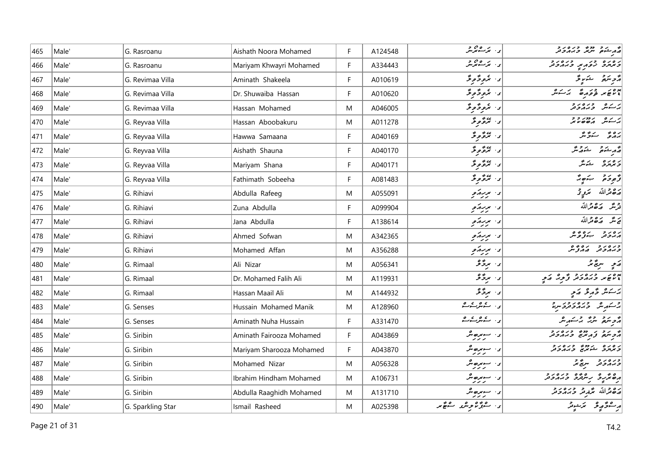| 465 | Male' | G. Rasroanu       | Aishath Noora Mohamed    | F  | A124548 | ى بە ئەسەمبەر               | و مشتور مستر و در و د                         |
|-----|-------|-------------------|--------------------------|----|---------|-----------------------------|-----------------------------------------------|
| 466 | Male' | G. Rasroanu       | Mariyam Khwayri Mohamed  | F  | A334443 | ى . ئىزىشەترىتر             | ג סגם כגע כגמכת                               |
| 467 | Male' | G. Revimaa Villa  | Aminath Shakeela         | F  | A010619 | ، ئىرە ئ <sup>ۇ</sup> مۇ    | أأزجر سكرا ويتحمل ومحر                        |
| 468 | Male' | G. Revimaa Villa  | Dr. Shuwaiba Hassan      | F  | A010620 | ى گروگروگر                  | $70x$<br>$x = 20x$<br>$x = 20x$               |
| 469 | Male' | G. Revimaa Villa  | Hassan Mohamed           | M  | A046005 | ى گروگروگر                  | يركسش وبره برو                                |
| 470 | Male' | G. Reyvaa Villa   | Hassan Aboobakuru        | M  | A011278 | ى بىدۇمۇگە                  | ير ده در دو                                   |
| 471 | Male' | G. Reyvaa Villa   | Hawwa Samaana            | F. | A040169 | ى بىمۇمۇ                    | برە ئەر ئەر                                   |
| 472 | Male' | G. Reyvaa Villa   | Aishath Shauna           | F  | A040170 | ى بىن ئەرەپ                 | ے ترکیٹر<br>ا پر مرکز دیگر<br>اور مرکز شهر    |
| 473 | Male' | G. Reyvaa Villa   | Mariyam Shana            | F  | A040171 | د به عده گردگر              | ر ه ر ه<br>تر بر بر<br>شەكەنگر                |
| 474 | Male' | G. Reyvaa Villa   | Fathimath Sobeeha        | F  | A081483 | ى بىرە ئوق                  | سەھ بە<br>و مر د<br>ترموخ مو                  |
| 475 | Male' | G. Rihiavi        | Abdulla Rafeeg           | M  | A055091 | ى سورىمى                    | پر <b>ص</b> حر اللّه<br>ىخرى تۇ               |
| 476 | Male' | G. Rihiavi        | Zuna Abdulla             | F  | A099904 | ى سورىمى                    | فرسَّر مَرْهِ قَرَاللَّه                      |
| 477 | Male' | G. Rihiavi        | Jana Abdulla             | F  | A138614 | ى سورىزى                    | تح مَّرْ مَرْهُ مِّرَاللَّه                   |
| 478 | Male' | G. Rihiavi        | Ahmed Sofwan             | M  | A342365 | ى سىرىرىم                   | رەرد رەپەر                                    |
| 479 | Male' | G. Rihiavi        | Mohamed Affan            | M  | A356288 | ى سىرىرىمى                  | ورەرد رەپەە<br><i>جەم</i> ەدىر <i>مەدۋ</i> ىر |
| 480 | Male' | G. Rimaal         | Ali Nizar                | M  | A056341 | ى - بروگو                   | أوسمج يتمرج يتمر                              |
| 481 | Male' | G. Rimaal         | Dr. Mohamed Falih Ali    | M  | A119931 | ى - بروگر                   | بره در در در و در مرد                         |
| 482 | Male' | G. Rimaal         | Hassan Maail Ali         | M  | A144932 | ى - بىرىچى                  | بر يه و څه یو مکم                             |
| 483 | Male' | G. Senses         | Hussain Mohamed Manik    | M  | A128960 | ى ئەشرىئەت                  | כ היו כנסנכית כ                               |
| 484 | Male' | G. Senses         | Aminath Nuha Hussain     | F  | A331470 | ى ئەش ئەر                   | أو يرو دو و سکه ش                             |
| 485 | Male' | G. Siribin        | Aminath Fairooza Mohamed | F  | A043869 | ی سوپر صنگر<br>ンンン          | أترشح ومردد ورورد                             |
| 486 | Male' | G. Siribin        | Mariyam Sharooza Mohamed | F  | A043870 | ی سوپره مگر<br>مسلمان       | ر ۲۵ ده در در ۲۶۵ در د                        |
| 487 | Male' | G. Siribin        | Mohamed Nizar            | M  | A056328 | ی سوپره نگر<br>ر رز         | כמחכת תשת                                     |
| 488 | Male' | G. Siribin        | Ibrahim Hindham Mohamed  | M  | A106731 | $rac{\partial}{\partial x}$ | دە بۇرو رىمبرد دىدەرد                         |
| 489 | Male' | G. Siribin        | Abdulla Raaghidh Mohamed | M  | A131710 | ى سىرەش                     | أرە داللە بمەر دېرەر د                        |
| 490 | Male' | G. Sparkling Star | Ismail Rasheed           | M  | A025398 | ى سوزىموسى سوغىر            | أرسادة ويحر بمرسور                            |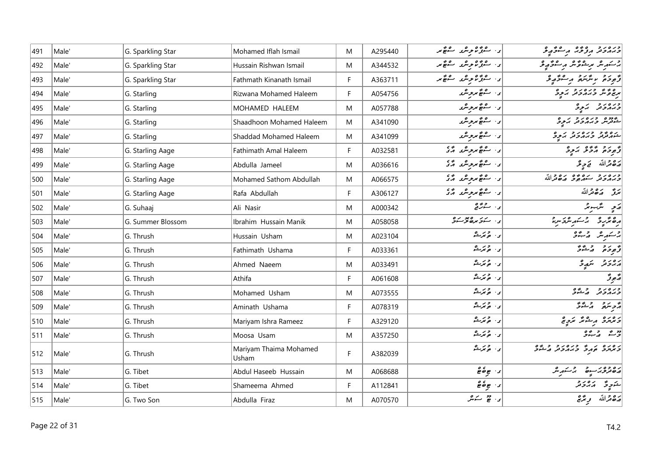| 491 | Male' | G. Sparkling Star | Mohamed Iflah Ismail            | M  | A295440 | ، سۇزىقويىرى سىۋىر                        | ورەرو روژۇ رىمۇر                                            |
|-----|-------|-------------------|---------------------------------|----|---------|-------------------------------------------|-------------------------------------------------------------|
| 492 | Male' | G. Sparkling Star | Hussain Rishwan Ismail          | M  | A344532 | ، سۇرتتوشى سۇغىر                          |                                                             |
| 493 | Male' | G. Sparkling Star | Fathmath Kinanath Ismail        | F  | A363711 | ، سۇزىموشىي سىۋىمە                        | توجود برشتي رققيق                                           |
| 494 | Male' | G. Starling       | Rizwana Mohamed Haleem          | F  | A054756 | ی- سشقے مرموسر                            | - 2000 ور 2000 رکس در د                                     |
| 495 | Male' | G. Starling       | MOHAMED HALEEM                  | M  | A057788 | <mark>ى ، سىق</mark> ئىرموسىمد            | دره رو در بر ده                                             |
| 496 | Male' | G. Starling       | Shaadhoon Mohamed Haleem        | M  | A341090 | <mark>ى ، سىقى ئىرجە</mark> شمە           | ودوه وره دو رو<br>شردرس وبرمرونر برنور                      |
| 497 | Male' | G. Starling       | Shaddad Mohamed Haleem          | M  | A341099 | <mark>ى ئەھ</mark> ئىزمولىنى <sub>د</sub> | شهر مدور وره در و بر مرکز                                   |
| 498 | Male' | G. Starling Aage  | <b>Fathimath Amal Haleem</b>    | F  | A032581 | ى شۇمرىرىتى مۇ                            | أزّووه أزوّو برَدٍو                                         |
| 499 | Male' | G. Starling Aage  | Abdulla Jameel                  | M  | A036616 | ى شۇمرىرىشى مە                            | 205 الله تح حرِ عجم                                         |
| 500 | Male' | G. Starling Aage  | Mohamed Sathom Abdullah         | M  | A066575 | ی گوشگا پرچانگری انگری                    | وره رو بره وه بره والله                                     |
| 501 | Male' | G. Starling Aage  | Rafa Abdullah                   | F  | A306127 | ى سىۋىروشى مى                             | بروس برە قراللە                                             |
| 502 | Male' | G. Suhaaj         | Ali Nasir                       | M  | A000342 | ى سىمىرى                                  | أەكىم ئىشىلىدىنى بىر                                        |
| 503 | Male' | G. Summer Blossom | Ibrahim Hussain Manik           | M  | A058058 | ى سۇ ئەھەر ئە                             | ופיל פי הלי מודי את הי                                      |
| 504 | Male' | G. Thrush         | Hussain Usham                   | M  | A023104 | ى بە ھەتتىگە                              | ج سەر شەھ ھەسبۇ                                             |
| 505 | Male' | G. Thrush         | Fathimath Ushama                | F  | A033361 | ى بەرگەشە                                 | و دو د شکو                                                  |
| 506 | Male' | G. Thrush         | Ahmed Naeem                     | M  | A033491 | ى بەرگە                                   | رەرو شھرى                                                   |
| 507 | Male' | G. Thrush         | Athifa                          | F  | A061608 | ى قرير ھ                                  | ومجوقر                                                      |
| 508 | Male' | G. Thrush         | Mohamed Usham                   | M  | A073555 | ى بە ھەتتۈشە                              | ورەرو ويەھ                                                  |
| 509 | Male' | G. Thrush         | Aminath Ushama                  | F. | A078319 | ى بەھمەت ھە                               | أزويتم أرشاد                                                |
| 510 | Male' | G. Thrush         | Mariyam Ishra Rameez            | F  | A329120 | ى بەھمەت ھە                               | دورو مشر تردم                                               |
| 511 | Male' | G. Thrush         | Moosa Usam                      | M  | A357250 | ى بەرگە                                   | رحمد المرشوع                                                |
| 512 | Male' | G. Thrush         | Mariyam Thaima Mohamed<br>Usham | F  | A382039 | ى بە ھەتتىگە                              | ג סגם גדו כגם גדד כדים.<br>בינו <i>וב החבר ב</i> גובבת היית |
| 513 | Male' | G. Tibet          | Abdul Haseeb Hussain            | M  | A068688 | $e$ $e$ $e$ $\rightarrow$                 | رەدە ئەسرە ئەسكىرىش                                         |
| 514 | Male' | G. Tibet          | Shameema Ahmed                  | F  | A112841 | $e$ $e$ $e$ $\rightarrow$                 | أشودة أيرورد                                                |
| 515 | Male' | G. Two Son        | Abdulla Firaz                   | M  | A070570 | ی سچ کش                                   | صاصرالله وبترج                                              |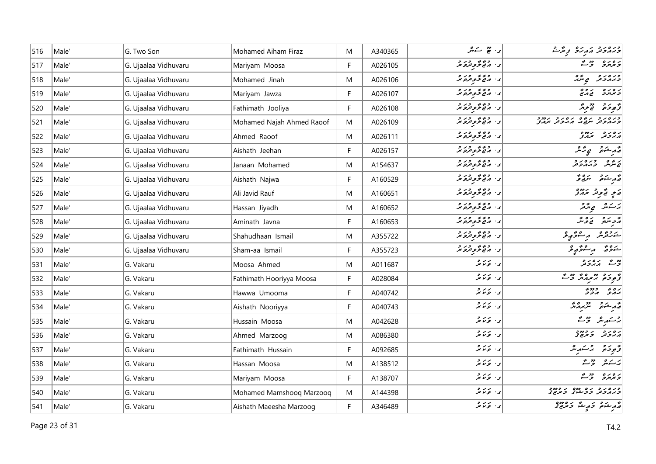| 516 | Male' | G. Two Son           | Mohamed Aiham Firaz       | M           | A340365 | ی. میچ سکرمی                                                                                                                                                                                                                   | ورەرو مەرىۋ رېڭ                                      |
|-----|-------|----------------------|---------------------------|-------------|---------|--------------------------------------------------------------------------------------------------------------------------------------------------------------------------------------------------------------------------------|------------------------------------------------------|
| 517 | Male' | G. Ujaalaa Vidhuvaru | Mariyam Moosa             | $\mathsf F$ | A026105 | د به د محموم د د د                                                                                                                                                                                                             | د ه د ه د د م                                        |
| 518 | Male' | G. Ujaalaa Vidhuvaru | Mohamed Jinah             | M           | A026106 | ا د . او د څو په ترو بر                                                                                                                                                                                                        | ورەر د يەر                                           |
| 519 | Male' | G. Ujaalaa Vidhuvaru | Mariyam Jawza             | F           | A026107 | ا د . او د څو په پرو بر                                                                                                                                                                                                        | ر و پر<br>ق آريخ<br>تر جمهور و<br>تر <i>جم</i> هور و |
| 520 | Male' | G. Ujaalaa Vidhuvaru | Fathimath Jooliya         | F           | A026108 | د به د محمود د د د                                                                                                                                                                                                             | أوجوحهم فيحبش                                        |
| 521 | Male' | G. Ujaalaa Vidhuvaru | Mohamed Najah Ahmed Raoof | M           | A026109 | د به د مخ <i>و د د و</i>                                                                                                                                                                                                       |                                                      |
| 522 | Male' | G. Ujaalaa Vidhuvaru | Ahmed Raoof               | M           | A026111 | <sub>ى م</sub> ەقع قرەر دىر                                                                                                                                                                                                    | ג פ ג כב ב<br>הגב בג יינג צ                          |
| 523 | Male' | G. Ujaalaa Vidhuvaru | Aishath Jeehan            | F           | A026157 | ، دقع تورور د کار د کار د کار د کار د کار د کار د کار د کار د کار د کار د کار د کار د کار د کار د کار د کار د<br>د کار د کار د کار د کار د کار د کار د کار د کار د کار د کار د کار د کار د کار د کار د کار د کار د کار د کار د | أمار مشاهر ويحامل                                    |
| 524 | Male' | G. Ujaalaa Vidhuvaru | Janaan Mohamed            | M           | A154637 | د به د محمود د د د                                                                                                                                                                                                             | ار شهر از در در د<br>ای سگرس از زبر در در            |
| 525 | Male' | G. Ujaalaa Vidhuvaru | Aishath Najwa             | F           | A160529 | د به د محموم د د د                                                                                                                                                                                                             |                                                      |
| 526 | Male' | G. Ujaalaa Vidhuvaru | Ali Javid Rauf            | M           | A160651 | د موسم در د د د                                                                                                                                                                                                                | أتمي فج وقر بردوه                                    |
| 527 | Male' | G. Ujaalaa Vidhuvaru | Hassan Jiyadh             | M           | A160652 | ى بەرقىم ئۆ <sub>م</sub> رىغا ئىركىزىنى ئىر                                                                                                                                                                                    | ىرىكىش ي <sub>وت</sub> رتىر                          |
| 528 | Male' | G. Ujaalaa Vidhuvaru | Aminath Javna             | $\mathsf F$ | A160653 | ى بەرقە ئۇرى <i>رى تەركى</i> ر                                                                                                                                                                                                 | و ده ده و                                            |
| 529 | Male' | G. Ujaalaa Vidhuvaru | Shahudhaan Ismail         | M           | A355722 | ى بەرقىم ئۆ <sub>م</sub> رىتى ئىر                                                                                                                                                                                              | خەرتۇش بەستۇپچ                                       |
| 530 | Male' | G. Ujaalaa Vidhuvaru | Sham-aa Ismail            | F           | A355723 | ، دوځ تژ <sub>ه و</sub> ژبر و                                                                                                                                                                                                  | أشوده وسوديو                                         |
| 531 | Male' | G. Vakaru            | Moosa Ahmed               | M           | A011687 | ى بەرىمىگە                                                                                                                                                                                                                     | المحرث المربرور                                      |
| 532 | Male' | G. Vakaru            | Fathimath Hooriyya Moosa  | F           | A028084 | ى بەرىمىگە                                                                                                                                                                                                                     | توجده معهد وحظ                                       |
| 533 | Male' | G. Vakaru            | Hawwa Umooma              | F           | A040742 | ى بە ئەتمەتتى                                                                                                                                                                                                                  | ره و دود<br>بروی دوو                                 |
| 534 | Male' | G. Vakaru            | Aishath Nooriyya          | F           | A040743 | ى بەرىمىگە                                                                                                                                                                                                                     | התלום מתחת                                           |
| 535 | Male' | G. Vakaru            | Hussain Moosa             | M           | A042628 | ى بەرىمىگە                                                                                                                                                                                                                     | بر کے مر شر حر کے                                    |
| 536 | Male' | G. Vakaru            | Ahmed Marzoog             | M           | A086380 | ى بەرىمى                                                                                                                                                                                                                       |                                                      |
| 537 | Male' | G. Vakaru            | Fathimath Hussain         | F           | A092685 | ى بەركەتتى                                                                                                                                                                                                                     | قەدىرى جەسىر                                         |
| 538 | Male' | G. Vakaru            | Hassan Moosa              | M           | A138512 | ى بە ئەتمەتتى                                                                                                                                                                                                                  | ير کے مراج کے مقدم                                   |
| 539 | Male' | G. Vakaru            | Mariyam Moosa             | F           | A138707 | ى بەركەتتى                                                                                                                                                                                                                     | رەرە دور                                             |
| 540 | Male' | G. Vakaru            | Mohamed Mamshoog Marzoog  | M           | A144398 | ى بەرىمىگە                                                                                                                                                                                                                     | כנסנכ נס מס גבוב.<br>הממכת ההיישה במש                |
| 541 | Male' | G. Vakaru            | Aishath Maeesha Marzoog   | F           | A346489 | ى بە ئەتمەتتى                                                                                                                                                                                                                  | أمر المسكوم المحمد المستحرج المحمد المحمد المستوى    |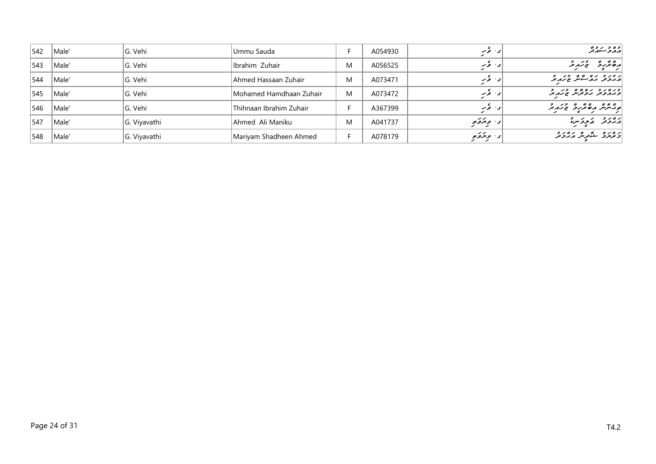| 542 | Male' | lG. Vehi     | Ummu Sauda                |   | A054930 | ی بھر               | ده د سه د تر                                                                                |
|-----|-------|--------------|---------------------------|---|---------|---------------------|---------------------------------------------------------------------------------------------|
| 543 | Male' | lG. Vehi     | Ibrahim Zuhair            | M | A056525 | ی بھر               | $\begin{bmatrix} 2 & 2 & 3 & 2 & 0 \\ 0 & 2 & 2 & 3 & 0 \\ 0 & 0 & 2 & 3 & 0 \end{bmatrix}$ |
| 544 | Male' | lG. Vehi     | Ahmed Hassaan Zuhair      | M | A073471 | ی قرب               | ر ور د ده ده ور د                                                                           |
| 545 | Male' | lG. Vehi     | l Mohamed Hamdhaan Zuhair | M | A073472 | ی بھر               | دره د د ده ده در د<br>دربردند بردندس پربرند                                                 |
| 546 | Male' | lG. Vehi     | Thihnaan Ibrahim Zuhair   |   | A367399 | ی قرب               | ورمشر مده برابر بالمرابر                                                                    |
| 547 | Male' | G. Viyavathi | Ahmed Ali Maniku          | M | A041737 | ی ۔ ویڑوگو          | הפיכ הכליטי                                                                                 |
| 548 | Male' | G. Vivavathi | Mariyam Shadheen Ahmed    |   | A078179 | - - -<br>ی و مرکومی | ار و ر ه مشهور شده بر د و<br>او بربرو شودر شر بربروتر                                       |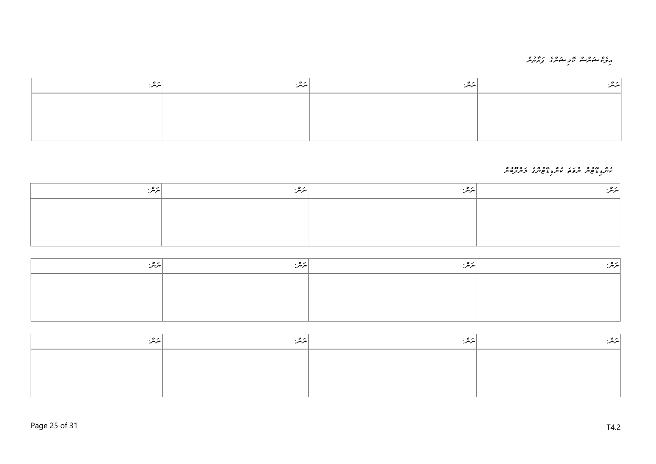## *w7qAn8m? sCw7mRo>u; wEw7mRw;sBo<*

| ' مرمر | 'يئرىثر: |
|--------|----------|
|        |          |
|        |          |
|        |          |

## *w7q9r@w7m> sCw7qHtFoFw7s; mAm=q7 w7qHtFoFw7s;*

| ىر تە | $\mathcal{O} \times$<br>$\sim$ | $\sim$<br>. . | لترنثر |
|-------|--------------------------------|---------------|--------|
|       |                                |               |        |
|       |                                |               |        |
|       |                                |               |        |

| $\frac{2}{n}$ | $^{\circ}$ | $\frac{2}{n}$ | $^{\circ}$<br>سرسر. |
|---------------|------------|---------------|---------------------|
|               |            |               |                     |
|               |            |               |                     |
|               |            |               |                     |

| ىرتىر: | 。<br>سر سر | .,<br>مرسر |
|--------|------------|------------|
|        |            |            |
|        |            |            |
|        |            |            |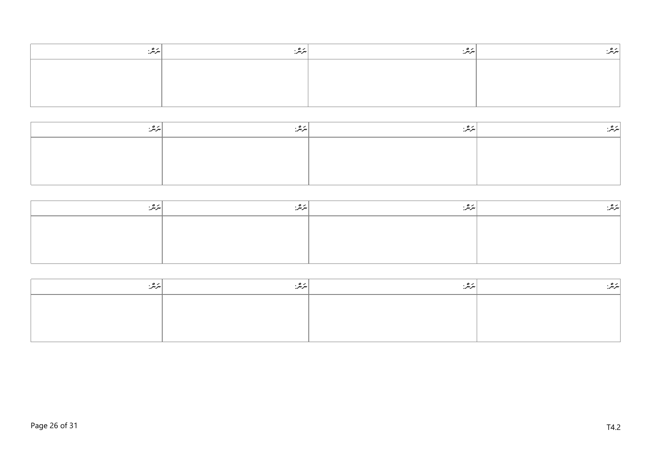| يزهر | $^{\circ}$ | ىئرىتر: |  |
|------|------------|---------|--|
|      |            |         |  |
|      |            |         |  |
|      |            |         |  |

| متريثر به | 。<br>'سرسر'۔ | يتزيترا | سرسر |
|-----------|--------------|---------|------|
|           |              |         |      |
|           |              |         |      |
|           |              |         |      |

| ىئرىتر. | $\sim$ | ا بر هه. | لىرىش |
|---------|--------|----------|-------|
|         |        |          |       |
|         |        |          |       |
|         |        |          |       |

| يترمثر | $^{\circ}$ | ىر پىر |
|--------|------------|--------|
|        |            |        |
|        |            |        |
|        |            |        |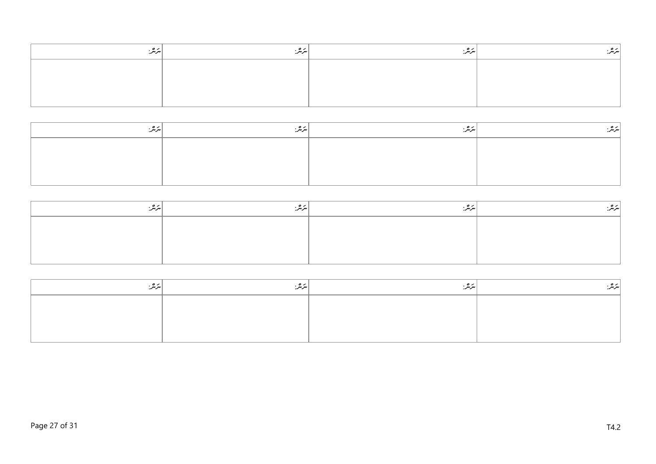| ير هو . | $\overline{\phantom{a}}$ | يرمر | اير هنه. |
|---------|--------------------------|------|----------|
|         |                          |      |          |
|         |                          |      |          |
|         |                          |      |          |

| ىر تىر: | $\circ$ $\sim$<br>" سرسر . | يترمير | o . |
|---------|----------------------------|--------|-----|
|         |                            |        |     |
|         |                            |        |     |
|         |                            |        |     |

| 'تترنثر: | 。<br>,,,, |  |
|----------|-----------|--|
|          |           |  |
|          |           |  |
|          |           |  |

|  | . ه |
|--|-----|
|  |     |
|  |     |
|  |     |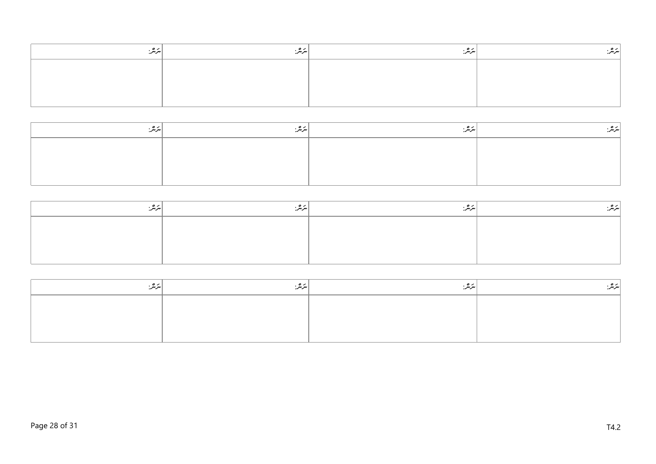| ير هو . | $\overline{\phantom{a}}$ | يرمر | اير هنه. |
|---------|--------------------------|------|----------|
|         |                          |      |          |
|         |                          |      |          |
|         |                          |      |          |

| ىر تىر: | $\circ$ $\sim$<br>" سرسر . | يترمير | o . |
|---------|----------------------------|--------|-----|
|         |                            |        |     |
|         |                            |        |     |
|         |                            |        |     |

| الترنثر: | ' مرتكز: | الترنثر: | .,<br>سرسر. |
|----------|----------|----------|-------------|
|          |          |          |             |
|          |          |          |             |
|          |          |          |             |

|  | . ه |
|--|-----|
|  |     |
|  |     |
|  |     |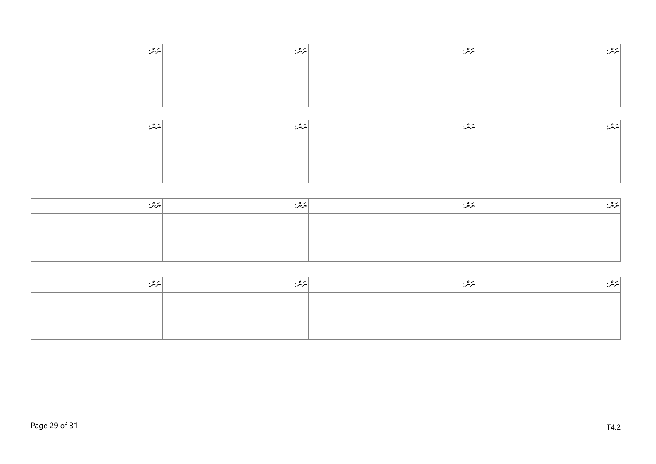| $\cdot$ | ο. | $\frac{\circ}{\cdot}$ | $\sim$<br>سرسر |
|---------|----|-----------------------|----------------|
|         |    |                       |                |
|         |    |                       |                |
|         |    |                       |                |

| ايرعر: | ر ه<br>. . |  |
|--------|------------|--|
|        |            |  |
|        |            |  |
|        |            |  |

| بر ه | 。 | $\overline{\phantom{0}}$<br>َ سومس. |  |
|------|---|-------------------------------------|--|
|      |   |                                     |  |
|      |   |                                     |  |
|      |   |                                     |  |

| 。<br>. س | ىرىىر |  |
|----------|-------|--|
|          |       |  |
|          |       |  |
|          |       |  |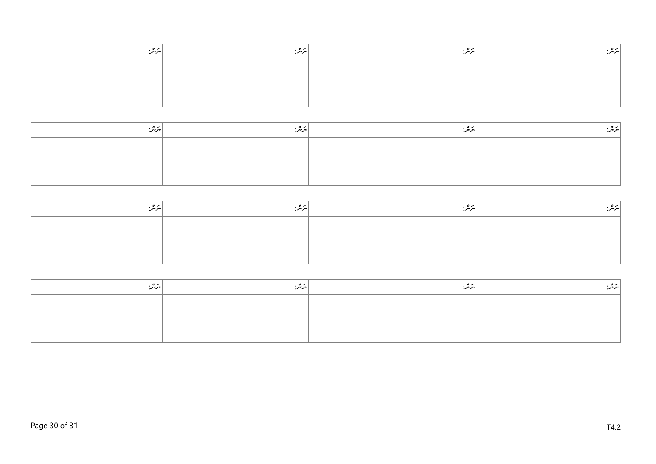| ير هو . | $\overline{\phantom{a}}$ | يرمر | اير هنه. |
|---------|--------------------------|------|----------|
|         |                          |      |          |
|         |                          |      |          |
|         |                          |      |          |

| ئىرتىر: | $\sim$<br>ا سرسر . | يئرمثر | o . |
|---------|--------------------|--------|-----|
|         |                    |        |     |
|         |                    |        |     |
|         |                    |        |     |

| الترنثر: | ' مرتكز: | الترنثر: | .,<br>سرسر. |
|----------|----------|----------|-------------|
|          |          |          |             |
|          |          |          |             |
|          |          |          |             |

|  | . ه |
|--|-----|
|  |     |
|  |     |
|  |     |